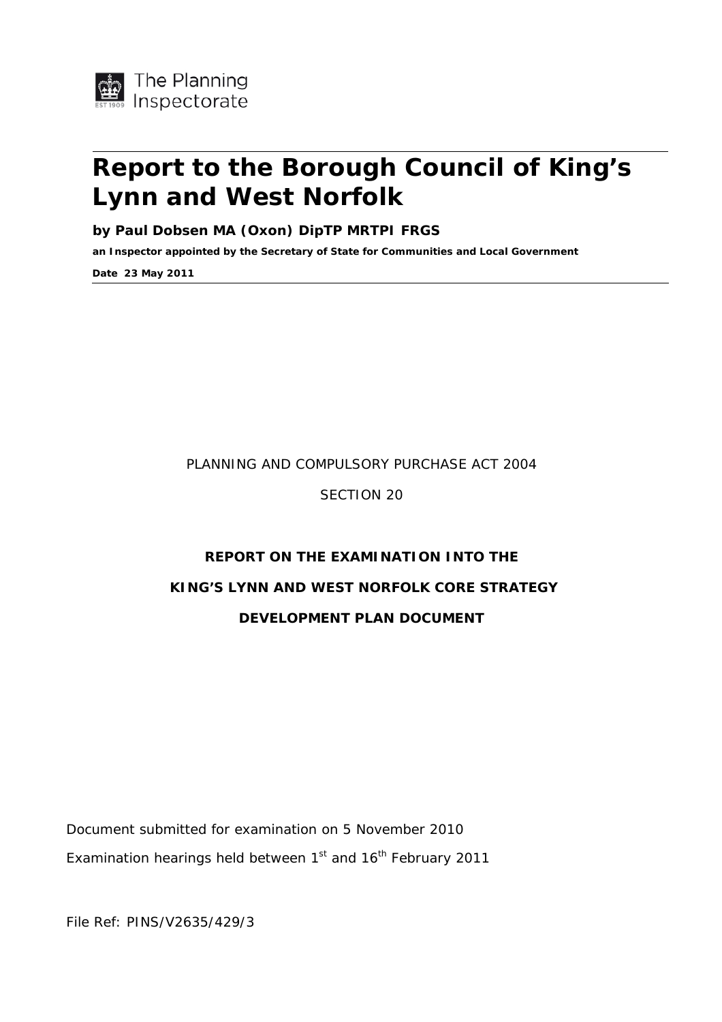

# **Report to the Borough Council of King's Lynn and West Norfolk**

**by Paul Dobsen MA (Oxon) DipTP MRTPI FRGS** 

**an Inspector appointed by the Secretary of State for Communities and Local Government** 

**Date 23 May 2011** 

#### PLANNING AND COMPULSORY PURCHASE ACT 2004

SECTION 20

# **REPORT ON THE EXAMINATION INTO THE KING'S LYNN AND WEST NORFOLK CORE STRATEGY DEVELOPMENT PLAN DOCUMENT**

Document submitted for examination on 5 November 2010 Examination hearings held between  $1<sup>st</sup>$  and  $16<sup>th</sup>$  February 2011

File Ref: PINS/V2635/429/3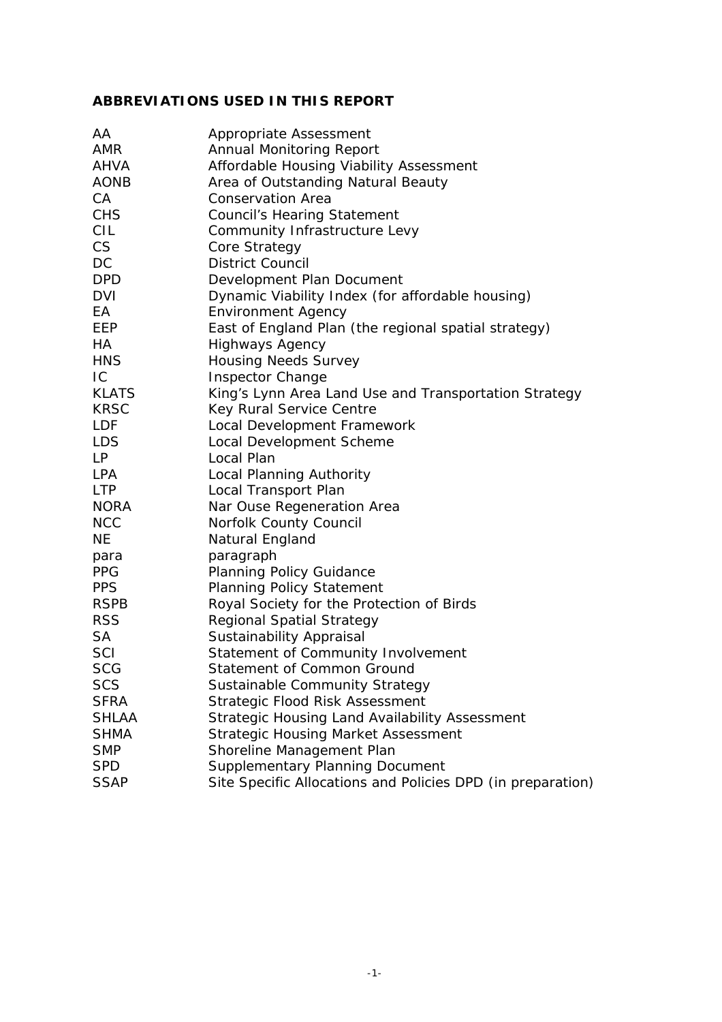#### **ABBREVIATIONS USED IN THIS REPORT**

| AA           | Appropriate Assessment                                      |
|--------------|-------------------------------------------------------------|
| <b>AMR</b>   | <b>Annual Monitoring Report</b>                             |
| AHVA         | Affordable Housing Viability Assessment                     |
| <b>AONB</b>  | Area of Outstanding Natural Beauty                          |
| CA           | <b>Conservation Area</b>                                    |
| <b>CHS</b>   | <b>Council's Hearing Statement</b>                          |
| CIL          | Community Infrastructure Levy                               |
| <b>CS</b>    | Core Strategy                                               |
| DC           | <b>District Council</b>                                     |
| <b>DPD</b>   | Development Plan Document                                   |
| <b>DVI</b>   | Dynamic Viability Index (for affordable housing)            |
| EA           | <b>Environment Agency</b>                                   |
| EEP          | East of England Plan (the regional spatial strategy)        |
| HA           | <b>Highways Agency</b>                                      |
| HNS          | <b>Housing Needs Survey</b>                                 |
| IC           | <b>Inspector Change</b>                                     |
| <b>KLATS</b> | King's Lynn Area Land Use and Transportation Strategy       |
| <b>KRSC</b>  | Key Rural Service Centre                                    |
| <b>LDF</b>   | Local Development Framework                                 |
| <b>LDS</b>   | Local Development Scheme                                    |
| LP           | Local Plan                                                  |
| <b>LPA</b>   | Local Planning Authority                                    |
| <b>LTP</b>   | Local Transport Plan                                        |
| <b>NORA</b>  | Nar Ouse Regeneration Area                                  |
| <b>NCC</b>   | Norfolk County Council                                      |
| <b>NE</b>    | Natural England                                             |
| para         | paragraph                                                   |
| <b>PPG</b>   | <b>Planning Policy Guidance</b>                             |
| <b>PPS</b>   | <b>Planning Policy Statement</b>                            |
| <b>RSPB</b>  | Royal Society for the Protection of Birds                   |
| <b>RSS</b>   | <b>Regional Spatial Strategy</b>                            |
| <b>SA</b>    | Sustainability Appraisal                                    |
| SCI          | Statement of Community Involvement                          |
| <b>SCG</b>   | Statement of Common Ground                                  |
| <b>SCS</b>   | Sustainable Community Strategy                              |
| <b>SFRA</b>  | Strategic Flood Risk Assessment                             |
| <b>SHLAA</b> | Strategic Housing Land Availability Assessment              |
| <b>SHMA</b>  | <b>Strategic Housing Market Assessment</b>                  |
| <b>SMP</b>   | Shoreline Management Plan                                   |
| <b>SPD</b>   | Supplementary Planning Document                             |
| <b>SSAP</b>  | Site Specific Allocations and Policies DPD (in preparation) |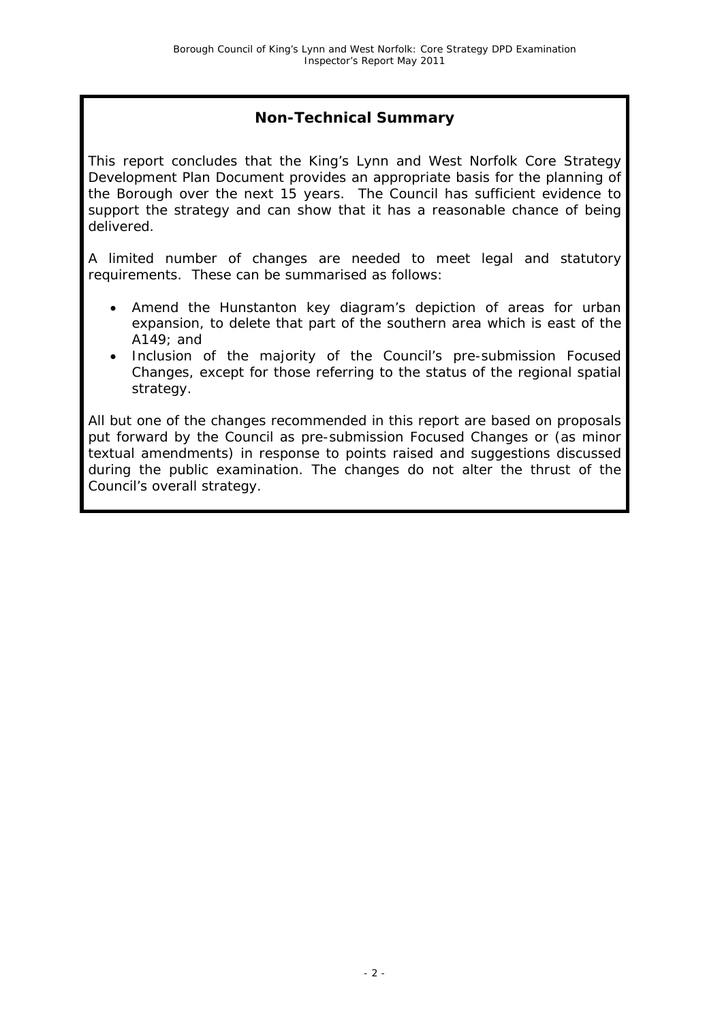#### **Non-Technical Summary**

This report concludes that the King's Lynn and West Norfolk Core Strategy Development Plan Document provides an appropriate basis for the planning of the Borough over the next 15 years. The Council has sufficient evidence to support the strategy and can show that it has a reasonable chance of being delivered.

A limited number of changes are needed to meet legal and statutory requirements. These can be summarised as follows:

- Amend the Hunstanton key diagram's depiction of areas for urban expansion, to delete that part of the southern area which is east of the A149; and
- Inclusion of the majority of the Council's pre-submission Focused Changes, except for those referring to the status of the regional spatial strategy.

All but one of the changes recommended in this report are based on proposals put forward by the Council as pre-submission Focused Changes or (as minor textual amendments) in response to points raised and suggestions discussed during the public examination. The changes do not alter the thrust of the Council's overall strategy.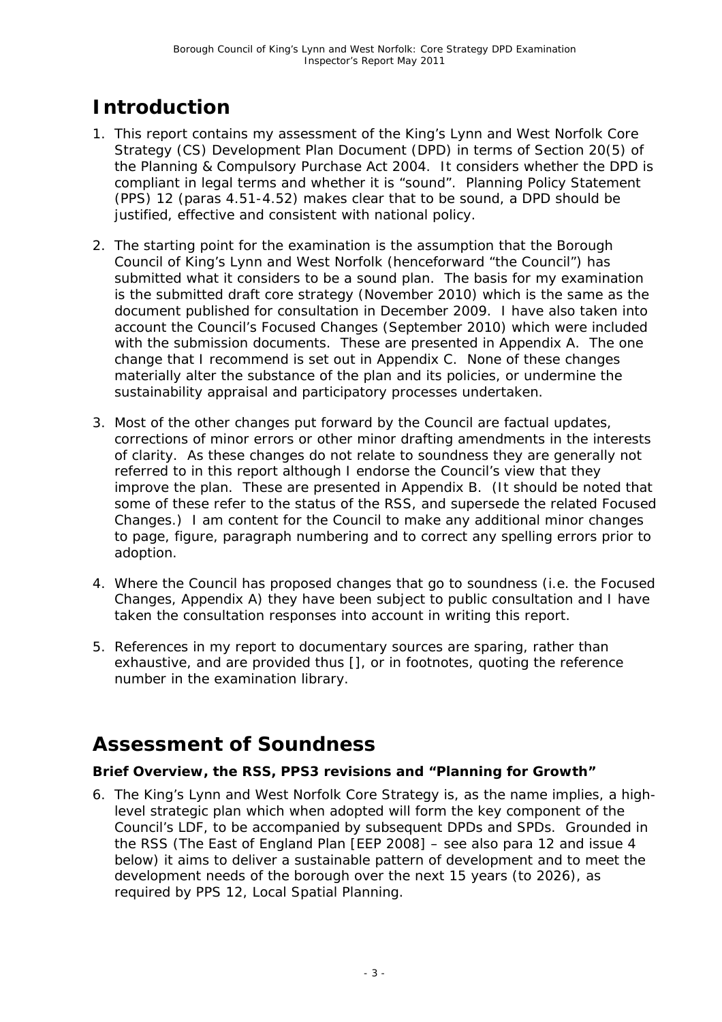# **Introduction**

- 1. This report contains my assessment of the King's Lynn and West Norfolk Core Strategy (CS) Development Plan Document (DPD) in terms of Section 20(5) of the Planning & Compulsory Purchase Act 2004. It considers whether the DPD is compliant in legal terms and whether it is "sound". Planning Policy Statement (PPS) 12 (paras 4.51-4.52) makes clear that to be sound, a DPD should be justified, effective and consistent with national policy.
- 2. The starting point for the examination is the assumption that the Borough Council of King's Lynn and West Norfolk (henceforward "the Council") has submitted what it considers to be a sound plan. The basis for my examination is the submitted draft core strategy (November 2010) which is the same as the document published for consultation in December 2009. I have also taken into account the Council's Focused Changes (September 2010) which were included with the submission documents. These are presented in Appendix A. The one change that I recommend is set out in Appendix C. None of these changes materially alter the substance of the plan and its policies, or undermine the sustainability appraisal and participatory processes undertaken.
- 3. Most of the other changes put forward by the Council are factual updates, corrections of minor errors or other minor drafting amendments in the interests of clarity. As these changes do not relate to soundness they are generally not referred to in this report although I endorse the Council's view that they improve the plan. These are presented in Appendix B. (It should be noted that some of these refer to the status of the RSS, and supersede the related Focused Changes.) I am content for the Council to make any additional minor changes to page, figure, paragraph numbering and to correct any spelling errors prior to adoption.
- 4. Where the Council has proposed changes that go to soundness (i.e. the Focused Changes, Appendix A) they have been subject to public consultation and I have taken the consultation responses into account in writing this report.
- 5. References in my report to documentary sources are sparing, rather than exhaustive, and are provided thus [], or in footnotes, quoting the reference number in the examination library.

# **Assessment of Soundness**

#### **Brief Overview, the RSS, PPS3 revisions and "Planning for Growth"**

6. The King's Lynn and West Norfolk Core Strategy is, as the name implies, a highlevel strategic plan which when adopted will form the key component of the Council's LDF, to be accompanied by subsequent DPDs and SPDs. Grounded in the RSS (The East of England Plan [EEP 2008] – see also para 12 and issue 4 below) it aims to deliver a sustainable pattern of development and to meet the development needs of the borough over the next 15 years (to 2026), as required by PPS 12, *Local Spatial Planning*.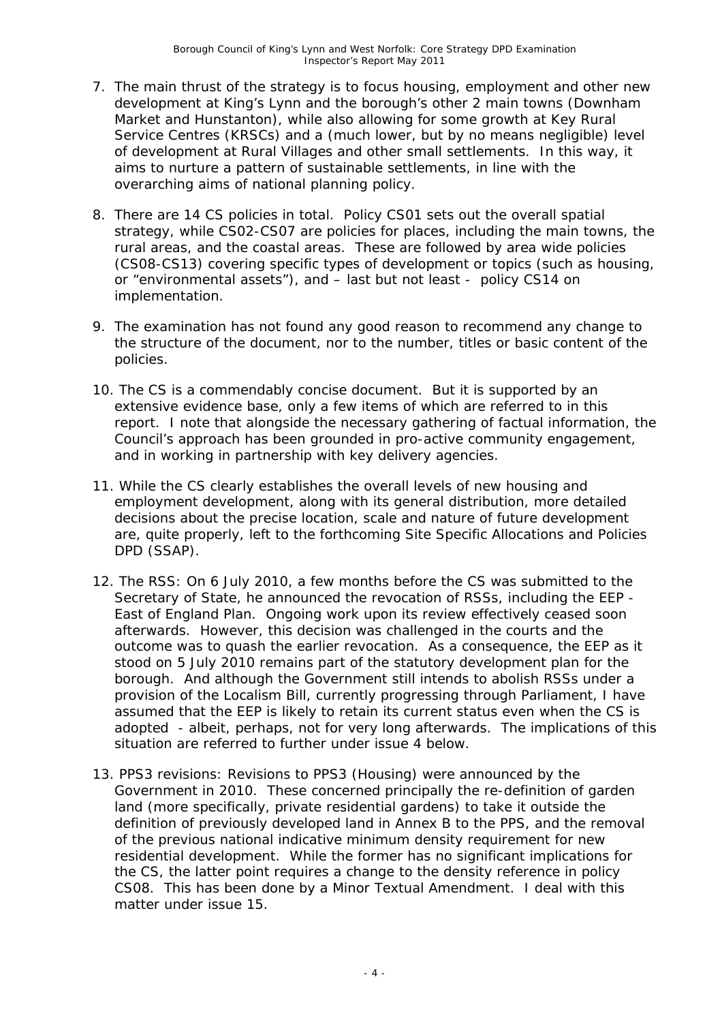- 7. The main thrust of the strategy is to focus housing, employment and other new development at King's Lynn and the borough's other 2 main towns (Downham Market and Hunstanton), while also allowing for some growth at Key Rural Service Centres (KRSCs) and a (much lower, but by no means negligible) level of development at Rural Villages and other small settlements. In this way, it aims to nurture a pattern of sustainable settlements, in line with the overarching aims of national planning policy.
- 8. There are 14 CS policies in total. Policy CS01 sets out the overall spatial strategy, while CS02-CS07 are policies for places, including the main towns, the rural areas, and the coastal areas. These are followed by area wide policies (CS08-CS13) covering specific types of development or topics (such as housing, or "environmental assets"), and – last but not least - policy CS14 on implementation.
- 9. The examination has not found any good reason to recommend any change to the structure of the document, nor to the number, titles or basic content of the policies.
- 10. The CS is a commendably concise document. But it is supported by an extensive evidence base, only a few items of which are referred to in this report. I note that alongside the necessary gathering of factual information, the Council's approach has been grounded in pro-active community engagement, and in working in partnership with key delivery agencies.
- 11. While the CS clearly establishes the overall levels of new housing and employment development, along with its general distribution, more detailed decisions about the precise location, scale and nature of future development are, quite properly, left to the forthcoming Site Specific Allocations and Policies DPD (SSAP).
- 12. *The RSS:* On 6 July 2010, a few months before the CS was submitted to the Secretary of State, he announced the revocation of RSSs, including the EEP - East of England Plan. Ongoing work upon its review effectively ceased soon afterwards. However, this decision was challenged in the courts and the outcome was to quash the earlier revocation. As a consequence, the EEP as it stood on 5 July 2010 remains part of the statutory development plan for the borough. And although the Government still intends to abolish RSSs under a provision of the Localism Bill, currently progressing through Parliament, I have assumed that the EEP is likely to retain its current status even when the CS is adopted - albeit, perhaps, not for very long afterwards. The implications of this situation are referred to further under issue 4 below.
- 13. *PPS3 revisions:* Revisions to PPS3 (*Housing*) were announced by the Government in 2010. These concerned principally the re-definition of garden land (more specifically, private residential gardens) to take it outside the definition of previously developed land in Annex B to the PPS, and the removal of the previous national indicative minimum density requirement for new residential development. While the former has no significant implications for the CS, the latter point requires a change to the density reference in policy CS08. This has been done by a Minor Textual Amendment. I deal with this matter under issue 15.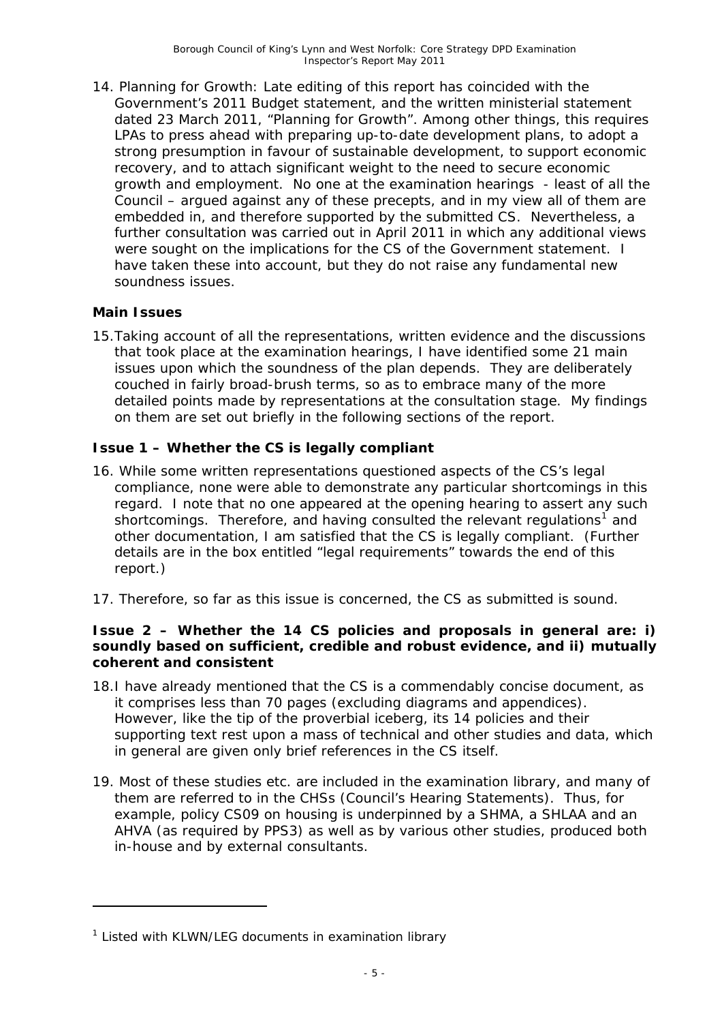14. *Planning for Growth:* Late editing of this report has coincided with the Government's 2011 Budget statement, and the written ministerial statement dated 23 March 2011, "Planning for Growth". Among other things, this requires LPAs to press ahead with preparing up-to-date development plans, to adopt a strong presumption in favour of sustainable development, to support economic recovery, and to attach significant weight to the need to secure economic growth and employment. No one at the examination hearings - least of all the Council – argued against any of these precepts, and in my view all of them are embedded in, and therefore supported by the submitted CS. Nevertheless, a further consultation was carried out in April 2011 in which any additional views were sought on the implications for the CS of the Government statement. I have taken these into account, but they do not raise any fundamental new soundness issues.

#### **Main Issues**

j

15.Taking account of all the representations, written evidence and the discussions that took place at the examination hearings, I have identified some 21 main issues upon which the soundness of the plan depends. They are deliberately couched in fairly broad-brush terms, so as to embrace many of the more detailed points made by representations at the consultation stage. My findings on them are set out briefly in the following sections of the report.

#### **Issue 1 – Whether the CS is legally compliant**

- 16. While some written representations questioned aspects of the CS's legal compliance, none were able to demonstrate any particular shortcomings in this regard. I note that no one appeared at the opening hearing to assert any such shortcomings. Therefore, and having consulted the relevant regulations<sup>[1](#page-5-0)</sup> and other documentation, I am satisfied that the CS is legally compliant. (Further details are in the box entitled "legal requirements" towards the end of this report.)
- 17. Therefore, so far as this issue is concerned, the CS as submitted is sound.

#### **Issue 2 – Whether the 14 CS policies and proposals in general are: i) soundly based on sufficient, credible and robust evidence, and ii) mutually coherent and consistent**

- 18.I have already mentioned that the CS is a commendably concise document, as it comprises less than 70 pages (excluding diagrams and appendices). However, like the tip of the proverbial iceberg, its 14 policies and their supporting text rest upon a mass of technical and other studies and data, which in general are given only brief references in the CS itself.
- 19. Most of these studies etc. are included in the examination library, and many of them are referred to in the CHSs (Council's Hearing Statements). Thus, for example, policy CS09 on housing is underpinned by a SHMA, a SHLAA and an AHVA (as required by PPS3) as well as by various other studies, produced both in-house and by external consultants.

<span id="page-5-0"></span><sup>&</sup>lt;sup>1</sup> Listed with KLWN/LEG documents in examination library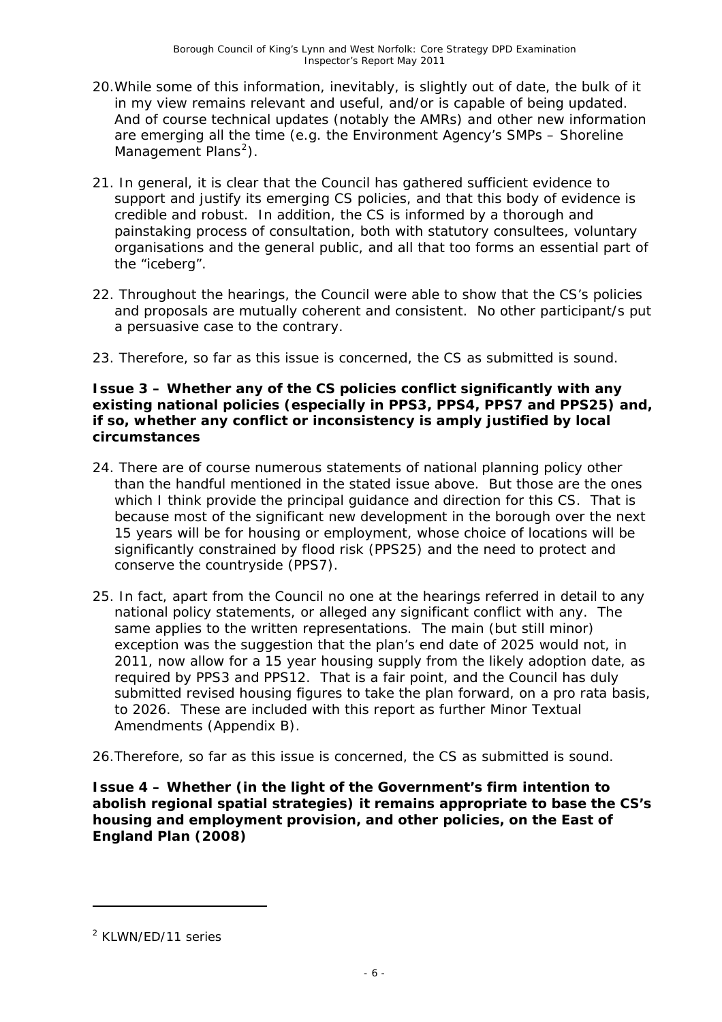- 20.While some of this information, inevitably, is slightly out of date, the bulk of it in my view remains relevant and useful, and/or is capable of being updated. And of course technical updates (notably the AMRs) and other new information are emerging all the time (e.g. the Environment Agency's SMPs – Shoreline Management Plans<sup>[2](#page-6-0)</sup>).
- 21. In general, it is clear that the Council has gathered sufficient evidence to support and justify its emerging CS policies, and that this body of evidence is credible and robust. In addition, the CS is informed by a thorough and painstaking process of consultation, both with statutory consultees, voluntary organisations and the general public, and all that too forms an essential part of the "iceberg".
- 22. Throughout the hearings, the Council were able to show that the CS's policies and proposals are mutually coherent and consistent. No other participant/s put a persuasive case to the contrary.
- 23. Therefore, so far as this issue is concerned, the CS as submitted is sound.

#### **Issue 3 – Whether any of the CS policies conflict significantly with any existing national policies (especially in PPS3, PPS4, PPS7 and PPS25) and, if so, whether any conflict or inconsistency is amply justified by local circumstances**

- 24. There are of course numerous statements of national planning policy other than the handful mentioned in the stated issue above. But those are the ones which I think provide the principal guidance and direction for this CS. That is because most of the significant new development in the borough over the next 15 years will be for housing or employment, whose choice of locations will be significantly constrained by flood risk (PPS25) and the need to protect and conserve the countryside (PPS7).
- 25. In fact, apart from the Council no one at the hearings referred in detail to any national policy statements, or alleged any significant conflict with any. The same applies to the written representations. The main (but still minor) exception was the suggestion that the plan's end date of 2025 would not, in 2011, now allow for a 15 year housing supply from the likely adoption date, as required by PPS3 and PPS12. That is a fair point, and the Council has duly submitted revised housing figures to take the plan forward, on a pro rata basis, to 2026. These are included with this report as further Minor Textual Amendments (Appendix B).
- 26.Therefore, so far as this issue is concerned, the CS as submitted is sound.

**Issue 4 – Whether (in the light of the Government's firm intention to abolish regional spatial strategies) it remains appropriate to base the CS's housing and employment provision, and other policies, on the East of England Plan (2008)**

<span id="page-6-0"></span><sup>&</sup>lt;sup>2</sup> KLWN/ED/11 series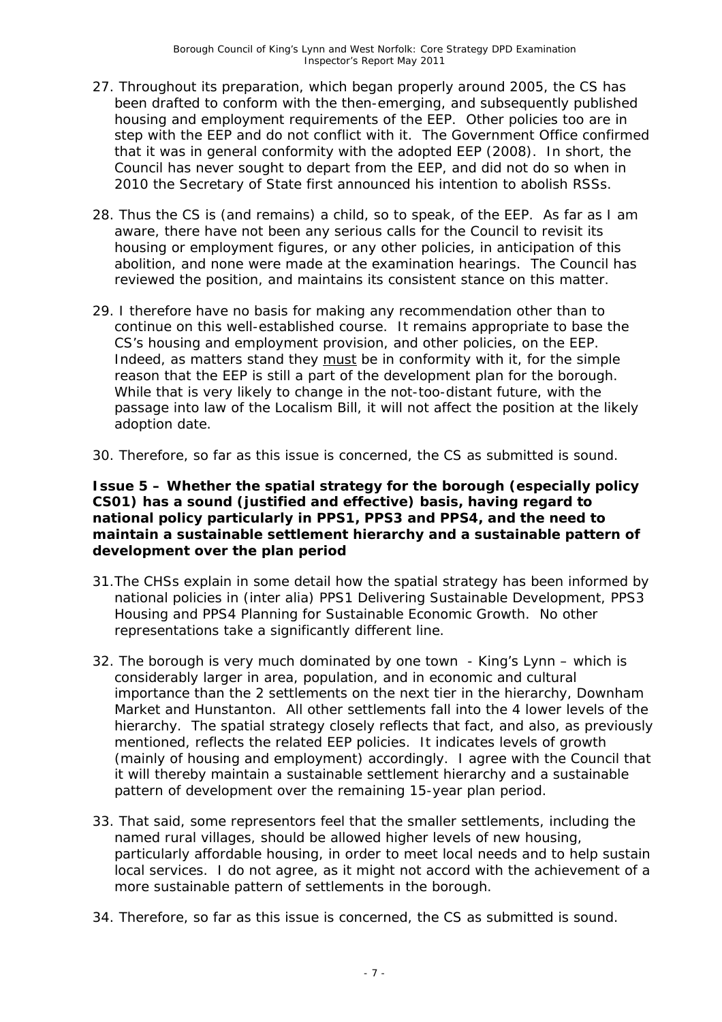- 27. Throughout its preparation, which began properly around 2005, the CS has been drafted to conform with the then-emerging, and subsequently published housing and employment requirements of the EEP. Other policies too are in step with the EEP and do not conflict with it. The Government Office confirmed that it was in general conformity with the adopted EEP (2008). In short, the Council has never sought to depart from the EEP, and did not do so when in 2010 the Secretary of State first announced his intention to abolish RSSs.
- 28. Thus the CS is (and remains) a child, so to speak, of the EEP. As far as I am aware, there have not been any serious calls for the Council to revisit its housing or employment figures, or any other policies, in anticipation of this abolition, and none were made at the examination hearings. The Council has reviewed the position, and maintains its consistent stance on this matter.
- 29. I therefore have no basis for making any recommendation other than to continue on this well-established course. It remains appropriate to base the CS's housing and employment provision, and other policies, on the EEP. Indeed, as matters stand they must be in conformity with it, for the simple reason that the EEP is still a part of the development plan for the borough. While that is very likely to change in the not-too-distant future, with the passage into law of the Localism Bill, it will not affect the position at the likely adoption date.
- 30. Therefore, so far as this issue is concerned, the CS as submitted is sound.

**Issue 5 – Whether the spatial strategy for the borough (especially policy CS01) has a sound (justified and effective) basis, having regard to national policy particularly in PPS1, PPS3 and PPS4, and the need to maintain a sustainable settlement hierarchy and a sustainable pattern of development over the plan period**

- 31.The CHSs explain in some detail how the spatial strategy has been informed by national policies in (inter alia) PPS1 *Delivering Sustainable Development*, PPS3 *Housing* and PPS4 *Planning for Sustainable Economic Growth.* No other representations take a significantly different line.
- 32. The borough is very much dominated by one town King's Lynn which is considerably larger in area, population, and in economic and cultural importance than the 2 settlements on the next tier in the hierarchy, Downham Market and Hunstanton. All other settlements fall into the 4 lower levels of the hierarchy. The spatial strategy closely reflects that fact, and also, as previously mentioned, reflects the related EEP policies. It indicates levels of growth (mainly of housing and employment) accordingly. I agree with the Council that it will thereby maintain a sustainable settlement hierarchy and a sustainable pattern of development over the remaining 15-year plan period.
- 33. That said, some representors feel that the smaller settlements, including the named rural villages, should be allowed higher levels of new housing, particularly affordable housing, in order to meet local needs and to help sustain local services. I do not agree, as it might not accord with the achievement of a more sustainable pattern of settlements in the borough.
- 34. Therefore, so far as this issue is concerned, the CS as submitted is sound.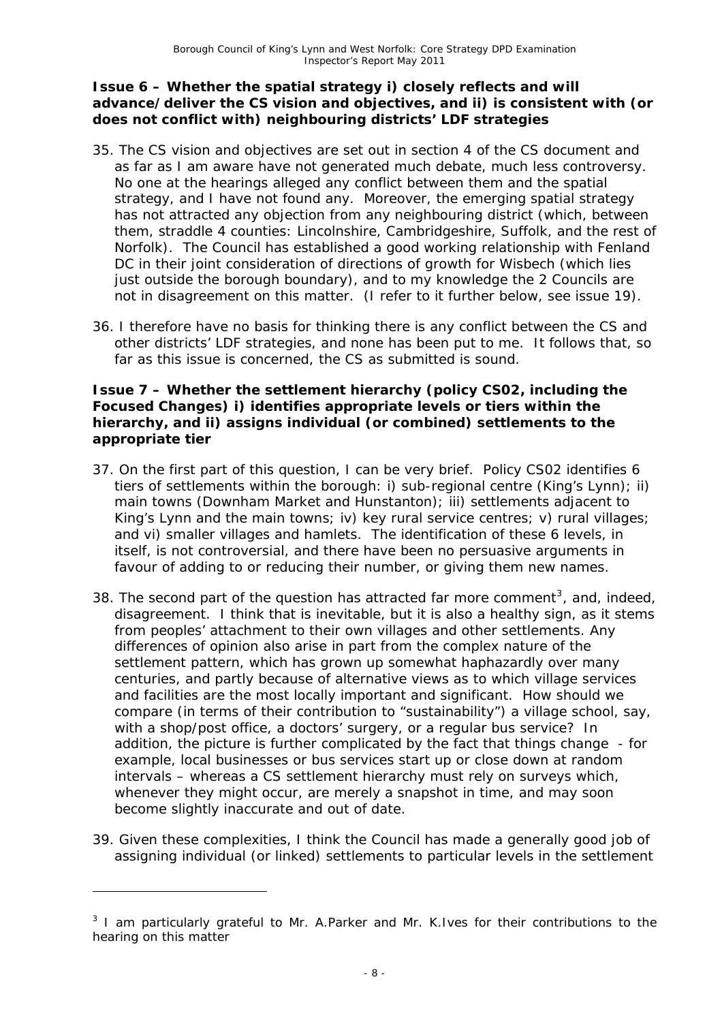#### **Issue 6 – Whether the spatial strategy i) closely reflects and will advance/deliver the CS vision and objectives, and ii) is consistent with (or does not conflict with) neighbouring districts' LDF strategies**

- 35. The CS vision and objectives are set out in section 4 of the CS document and as far as I am aware have not generated much debate, much less controversy. No one at the hearings alleged any conflict between them and the spatial strategy, and I have not found any. Moreover, the emerging spatial strategy has not attracted any objection from any neighbouring district (which, between them, straddle 4 counties: Lincolnshire, Cambridgeshire, Suffolk, and the rest of Norfolk). The Council has established a good working relationship with Fenland DC in their joint consideration of directions of growth for Wisbech (which lies just outside the borough boundary), and to my knowledge the 2 Councils are not in disagreement on this matter. (I refer to it further below, see issue 19).
- 36. I therefore have no basis for thinking there is any conflict between the CS and other districts' LDF strategies, and none has been put to me. It follows that, so far as this issue is concerned, the CS as submitted is sound.

#### **Issue 7 – Whether the settlement hierarchy (policy CS02, including the Focused Changes) i) identifies appropriate levels or tiers within the hierarchy, and ii) assigns individual (or combined) settlements to the appropriate tier**

- 37. On the first part of this question, I can be very brief. Policy CS02 identifies 6 tiers of settlements within the borough: i) sub-regional centre (King's Lynn); ii) main towns (Downham Market and Hunstanton); iii) settlements adjacent to King's Lynn and the main towns; iv) key rural service centres; v) rural villages; and vi) smaller villages and hamlets. The identification of these 6 levels, in itself, is not controversial, and there have been no persuasive arguments in favour of adding to or reducing their number, or giving them new names.
- [3](#page-8-0)8. The second part of the question has attracted far more comment<sup>3</sup>, and, indeed, disagreement. I think that is inevitable, but it is also a healthy sign, as it stems from peoples' attachment to their own villages and other settlements. Any differences of opinion also arise in part from the complex nature of the settlement pattern, which has grown up somewhat haphazardly over many centuries, and partly because of alternative views as to which village services and facilities are the most locally important and significant. How should we compare (in terms of their contribution to "sustainability") a village school, say, with a shop/post office, a doctors' surgery, or a regular bus service? In addition, the picture is further complicated by the fact that things change - for example, local businesses or bus services start up or close down at random intervals – whereas a CS settlement hierarchy must rely on surveys which, whenever they might occur, are merely a snapshot in time, and may soon become slightly inaccurate and out of date.
- 39. Given these complexities, I think the Council has made a generally good job of assigning individual (or linked) settlements to particular levels in the settlement

<span id="page-8-0"></span> $3$  I am particularly grateful to Mr. A.Parker and Mr. K.Ives for their contributions to the hearing on this matter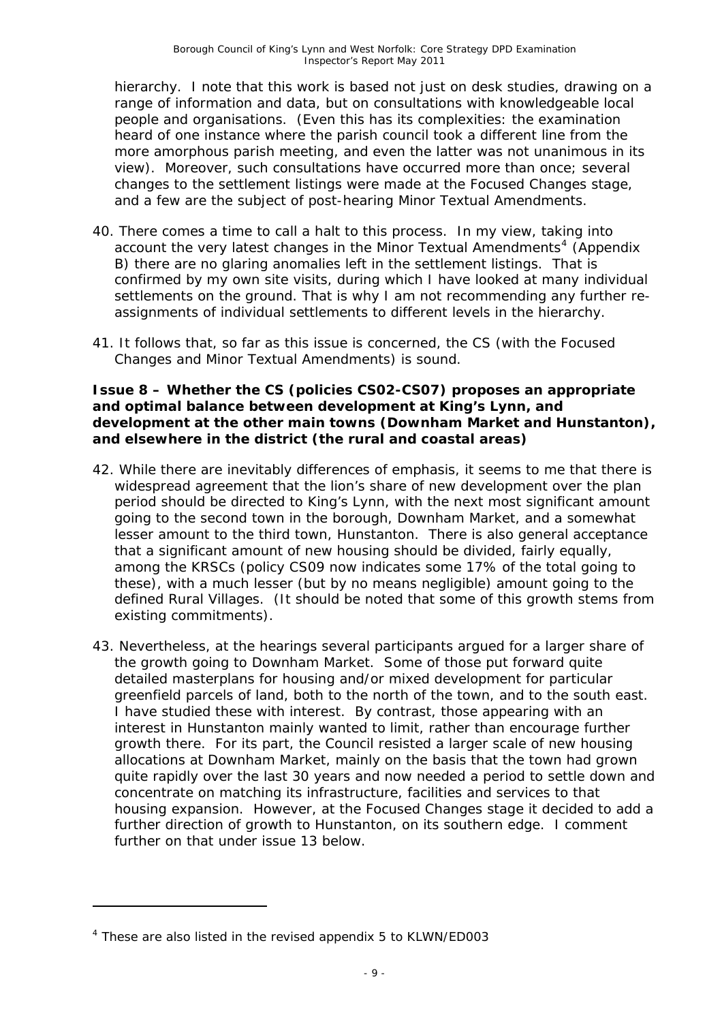hierarchy. I note that this work is based not just on desk studies, drawing on a range of information and data, but on consultations with knowledgeable local people and organisations. (Even this has its complexities: the examination heard of one instance where the parish council took a different line from the more amorphous parish meeting, and even the latter was not unanimous in its view). Moreover, such consultations have occurred more than once; several changes to the settlement listings were made at the Focused Changes stage, and a few are the subject of post-hearing Minor Textual Amendments.

- 40. There comes a time to call a halt to this process. In my view, taking into account the very latest changes in the Minor Textual Amendments<sup>[4](#page-9-0)</sup> (Appendix B) there are no glaring anomalies left in the settlement listings. That is confirmed by my own site visits, during which I have looked at many individual settlements on the ground. That is why I am not recommending any further reassignments of individual settlements to different levels in the hierarchy.
- 41. It follows that, so far as this issue is concerned, the CS (with the Focused Changes and Minor Textual Amendments) is sound.

#### **Issue 8 – Whether the CS (policies CS02-CS07) proposes an appropriate and optimal balance between development at King's Lynn, and development at the other main towns (Downham Market and Hunstanton), and elsewhere in the district (the rural and coastal areas)**

- 42. While there are inevitably differences of emphasis, it seems to me that there is widespread agreement that the lion's share of new development over the plan period should be directed to King's Lynn, with the next most significant amount going to the second town in the borough, Downham Market, and a somewhat lesser amount to the third town, Hunstanton. There is also general acceptance that a significant amount of new housing should be divided, fairly equally, among the KRSCs (policy CS09 now indicates some 17% of the total going to these), with a much lesser (but by no means negligible) amount going to the defined Rural Villages. (It should be noted that some of this growth stems from existing commitments).
- 43. Nevertheless, at the hearings several participants argued for a larger share of the growth going to Downham Market. Some of those put forward quite detailed masterplans for housing and/or mixed development for particular greenfield parcels of land, both to the north of the town, and to the south east. I have studied these with interest. By contrast, those appearing with an interest in Hunstanton mainly wanted to limit, rather than encourage further growth there. For its part, the Council resisted a larger scale of new housing allocations at Downham Market, mainly on the basis that the town had grown quite rapidly over the last 30 years and now needed a period to settle down and concentrate on matching its infrastructure, facilities and services to that housing expansion. However, at the Focused Changes stage it decided to add a further direction of growth to Hunstanton, on its southern edge. I comment further on that under issue 13 below.

<span id="page-9-0"></span><sup>&</sup>lt;sup>4</sup> These are also listed in the revised appendix 5 to KLWN/ED003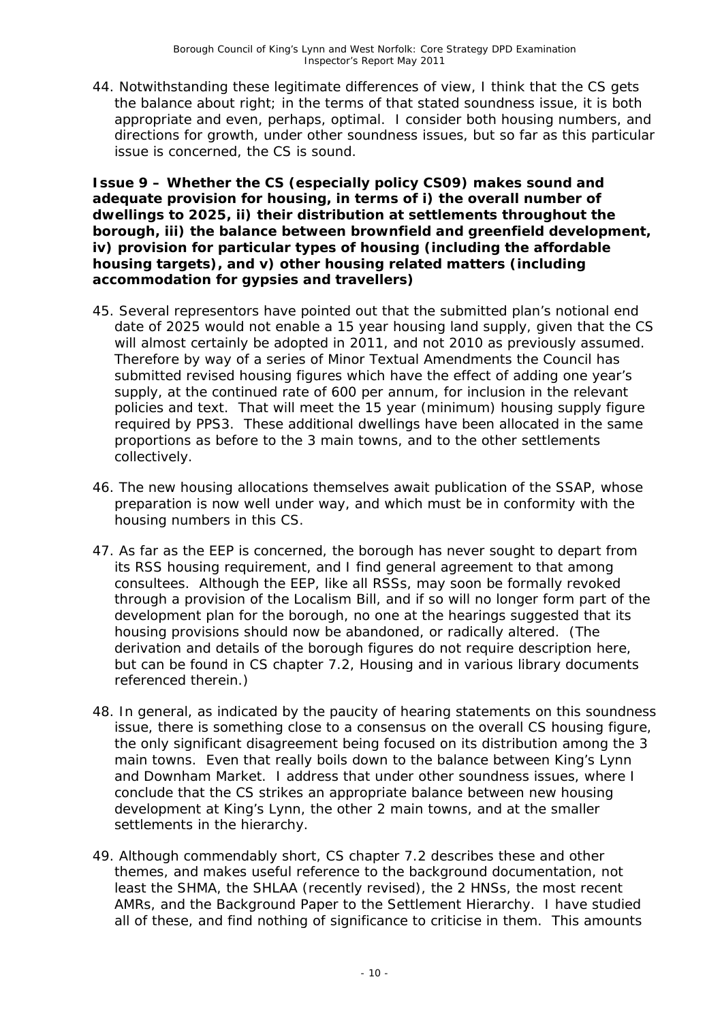44. Notwithstanding these legitimate differences of view, I think that the CS gets the balance about right; in the terms of that stated soundness issue, it is both appropriate and even, perhaps, optimal. I consider both housing numbers, and directions for growth, under other soundness issues, but so far as this particular issue is concerned, the CS is sound.

**Issue 9 – Whether the CS (especially policy CS09) makes sound and adequate provision for housing, in terms of i) the overall number of dwellings to 2025, ii) their distribution at settlements throughout the borough, iii) the balance between brownfield and greenfield development, iv) provision for particular types of housing (including the affordable housing targets), and v) other housing related matters (including accommodation for gypsies and travellers)**

- 45. Several representors have pointed out that the submitted plan's notional end date of 2025 would not enable a 15 year housing land supply, given that the CS will almost certainly be adopted in 2011, and not 2010 as previously assumed. Therefore by way of a series of Minor Textual Amendments the Council has submitted revised housing figures which have the effect of adding one year's supply, at the continued rate of 600 per annum, for inclusion in the relevant policies and text. That will meet the 15 year (minimum) housing supply figure required by PPS3. These additional dwellings have been allocated in the same proportions as before to the 3 main towns, and to the other settlements collectively.
- 46. The new housing allocations themselves await publication of the SSAP, whose preparation is now well under way, and which must be in conformity with the housing numbers in this CS.
- 47. As far as the EEP is concerned, the borough has never sought to depart from its RSS housing requirement, and I find general agreement to that among consultees. Although the EEP, like all RSSs, may soon be formally revoked through a provision of the Localism Bill, and if so will no longer form part of the development plan for the borough, no one at the hearings suggested that its housing provisions should now be abandoned, or radically altered. (The derivation and details of the borough figures do not require description here, but can be found in CS chapter 7.2, Housing and in various library documents referenced therein.)
- 48. In general, as indicated by the paucity of hearing statements on this soundness issue, there is something close to a consensus on the overall CS housing figure, the only significant disagreement being focused on its distribution among the 3 main towns. Even that really boils down to the balance between King's Lynn and Downham Market. I address that under other soundness issues, where I conclude that the CS strikes an appropriate balance between new housing development at King's Lynn, the other 2 main towns, and at the smaller settlements in the hierarchy.
- 49. Although commendably short, CS chapter 7.2 describes these and other themes, and makes useful reference to the background documentation, not least the SHMA, the SHLAA (recently revised), the 2 HNSs, the most recent AMRs, and the Background Paper to the Settlement Hierarchy. I have studied all of these, and find nothing of significance to criticise in them. This amounts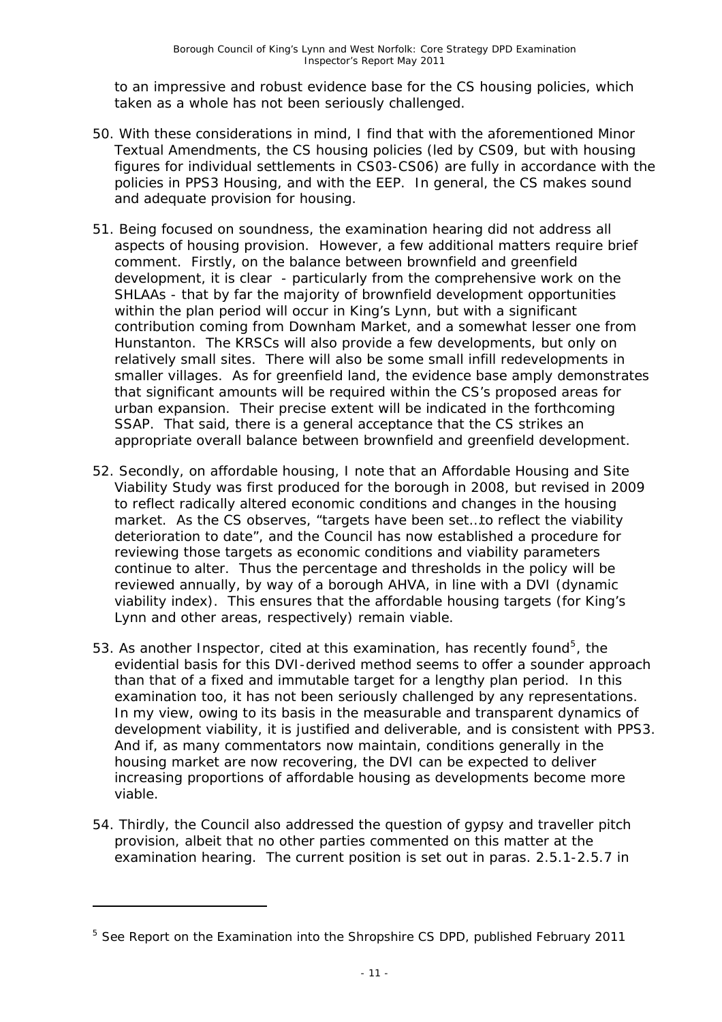to an impressive and robust evidence base for the CS housing policies, which taken as a whole has not been seriously challenged.

- 50. With these considerations in mind, I find that with the aforementioned Minor Textual Amendments, the CS housing policies (led by CS09, but with housing figures for individual settlements in CS03-CS06) are fully in accordance with the policies in PPS3 *Housing*, and with the EEP. In general, the CS makes sound and adequate provision for housing.
- 51. Being focused on soundness, the examination hearing did not address all aspects of housing provision. However, a few additional matters require brief comment. Firstly, on the balance between brownfield and greenfield development, it is clear - particularly from the comprehensive work on the SHLAAs - that by far the majority of brownfield development opportunities within the plan period will occur in King's Lynn, but with a significant contribution coming from Downham Market, and a somewhat lesser one from Hunstanton. The KRSCs will also provide a few developments, but only on relatively small sites. There will also be some small infill redevelopments in smaller villages. As for greenfield land, the evidence base amply demonstrates that significant amounts will be required within the CS's proposed areas for urban expansion. Their precise extent will be indicated in the forthcoming SSAP. That said, there is a general acceptance that the CS strikes an appropriate overall balance between brownfield and greenfield development.
- 52. Secondly, on affordable housing, I note that an Affordable Housing and Site Viability Study was first produced for the borough in 2008, but revised in 2009 to reflect radically altered economic conditions and changes in the housing market. As the CS observes, "targets have been set…to reflect the viability deterioration to date", and the Council has now established a procedure for reviewing those targets as economic conditions and viability parameters continue to alter. Thus the percentage and thresholds in the policy will be reviewed annually, by way of a borough AHVA, in line with a DVI (dynamic viability index). This ensures that the affordable housing targets (for King's Lynn and other areas, respectively) remain viable.
- [5](#page-11-0)3. As another Inspector, cited at this examination, has recently found<sup>5</sup>, the evidential basis for this DVI-derived method seems to offer a sounder approach than that of a fixed and immutable target for a lengthy plan period. In this examination too, it has not been seriously challenged by any representations. In my view, owing to its basis in the measurable and transparent dynamics of development viability, it is justified and deliverable, and is consistent with PPS3. And if, as many commentators now maintain, conditions generally in the housing market are now recovering, the DVI can be expected to deliver increasing proportions of affordable housing as developments become more viable.
- 54. Thirdly, the Council also addressed the question of gypsy and traveller pitch provision, albeit that no other parties commented on this matter at the examination hearing. The current position is set out in paras. 2.5.1-2.5.7 in

<span id="page-11-0"></span><sup>&</sup>lt;sup>5</sup> See Report on the Examination into the Shropshire CS DPD, published February 2011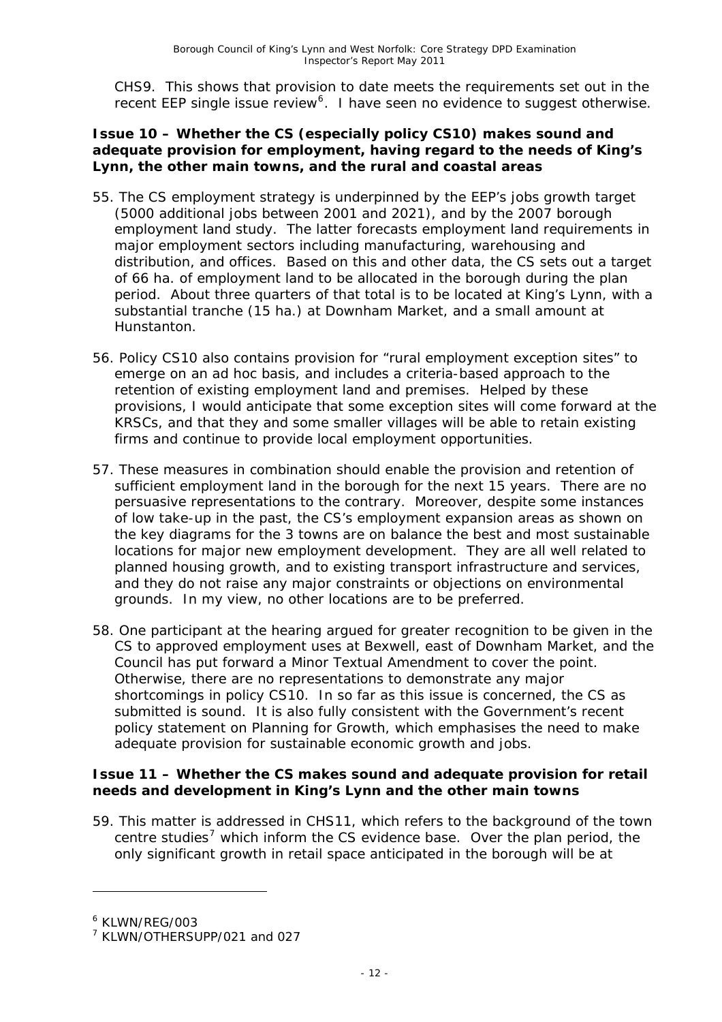CHS9. This shows that provision to date meets the requirements set out in the recent EEP single issue review<sup>[6](#page-12-0)</sup>. I have seen no evidence to suggest otherwise.

#### **Issue 10 – Whether the CS (especially policy CS10) makes sound and adequate provision for employment, having regard to the needs of King's Lynn, the other main towns, and the rural and coastal areas**

- 55. The CS employment strategy is underpinned by the EEP's jobs growth target (5000 additional jobs between 2001 and 2021), and by the 2007 borough employment land study. The latter forecasts employment land requirements in major employment sectors including manufacturing, warehousing and distribution, and offices. Based on this and other data, the CS sets out a target of 66 ha. of employment land to be allocated in the borough during the plan period. About three quarters of that total is to be located at King's Lynn, with a substantial tranche (15 ha.) at Downham Market, and a small amount at Hunstanton.
- 56. Policy CS10 also contains provision for "rural employment exception sites" to emerge on an ad hoc basis, and includes a criteria-based approach to the retention of existing employment land and premises. Helped by these provisions, I would anticipate that some exception sites will come forward at the KRSCs, and that they and some smaller villages will be able to retain existing firms and continue to provide local employment opportunities.
- 57. These measures in combination should enable the provision and retention of sufficient employment land in the borough for the next 15 years. There are no persuasive representations to the contrary. Moreover, despite some instances of low take-up in the past, the CS's employment expansion areas as shown on the key diagrams for the 3 towns are on balance the best and most sustainable locations for major new employment development. They are all well related to planned housing growth, and to existing transport infrastructure and services, and they do not raise any major constraints or objections on environmental grounds. In my view, no other locations are to be preferred.
- 58. One participant at the hearing argued for greater recognition to be given in the CS to approved employment uses at Bexwell, east of Downham Market, and the Council has put forward a Minor Textual Amendment to cover the point. Otherwise, there are no representations to demonstrate any major shortcomings in policy CS10. In so far as this issue is concerned, the CS as submitted is sound. It is also fully consistent with the Government's recent policy statement on Planning for Growth, which emphasises the need to make adequate provision for sustainable economic growth and jobs.

#### **Issue 11 – Whether the CS makes sound and adequate provision for retail needs and development in King's Lynn and the other main towns**

59. This matter is addressed in CHS11, which refers to the background of the town centre studies<sup>[7](#page-12-1)</sup> which inform the CS evidence base. Over the plan period, the only significant growth in retail space anticipated in the borough will be at

<span id="page-12-0"></span><sup>6</sup> KLWN/REG/003

<span id="page-12-1"></span><sup>7</sup> KLWN/OTHERSUPP/021 and 027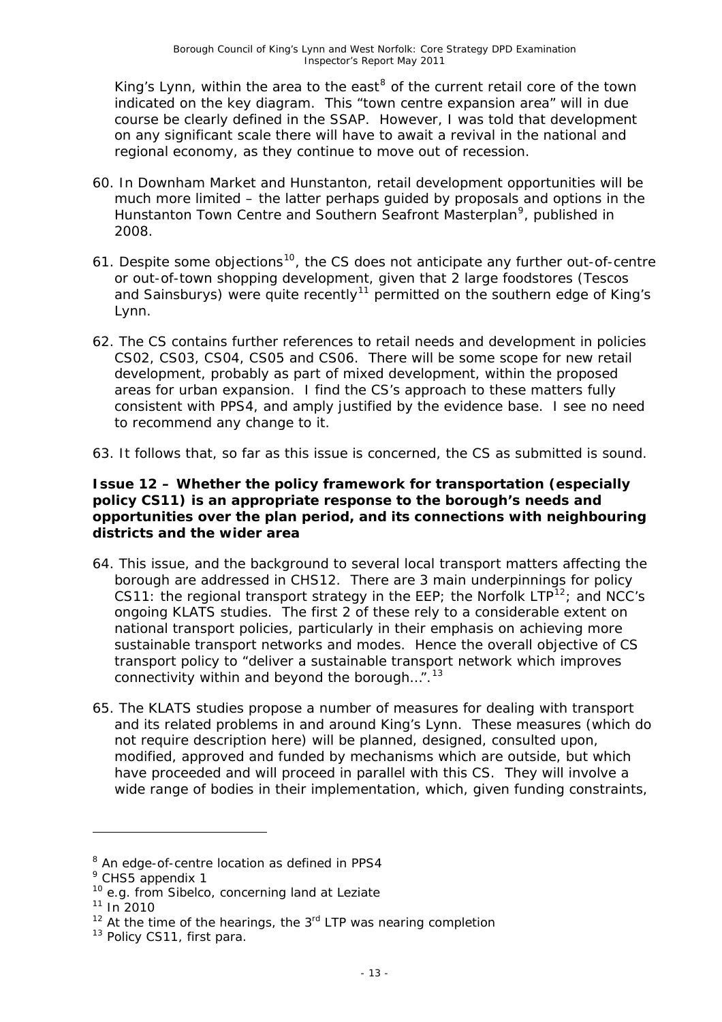King's Lynn, within the area to the east<sup>[8](#page-13-0)</sup> of the current retail core of the town indicated on the key diagram. This "town centre expansion area" will in due course be clearly defined in the SSAP. However, I was told that development on any significant scale there will have to await a revival in the national and regional economy, as they continue to move out of recession.

- 60. In Downham Market and Hunstanton, retail development opportunities will be much more limited – the latter perhaps guided by proposals and options in the Hunstanton Town Centre and Southern Seafront Masterplan<sup>[9](#page-13-1)</sup>, published in 2008.
- 61. Despite some objections<sup>[10](#page-13-2)</sup>, the CS does not anticipate any further out-of-centre or out-of-town shopping development, given that 2 large foodstores (Tescos and Sainsburys) were quite recently<sup>[11](#page-13-3)</sup> permitted on the southern edge of King's Lynn.
- 62. The CS contains further references to retail needs and development in policies CS02, CS03, CS04, CS05 and CS06. There will be some scope for new retail development, probably as part of mixed development, within the proposed areas for urban expansion. I find the CS's approach to these matters fully consistent with PPS4, and amply justified by the evidence base. I see no need to recommend any change to it.
- 63. It follows that, so far as this issue is concerned, the CS as submitted is sound.

#### **Issue 12 – Whether the policy framework for transportation (especially policy CS11) is an appropriate response to the borough's needs and opportunities over the plan period, and its connections with neighbouring districts and the wider area**

- 64. This issue, and the background to several local transport matters affecting the borough are addressed in CHS12. There are 3 main underpinnings for policy CS11: the regional transport strategy in the EEP; the Norfolk  $LTP^{12}$  $LTP^{12}$  $LTP^{12}$ ; and NCC's ongoing KLATS studies. The first 2 of these rely to a considerable extent on national transport policies, particularly in their emphasis on achieving more sustainable transport networks and modes. Hence the overall objective of CS transport policy to "deliver a sustainable transport network which improves connectivity within and beyond the borough...".  $13$
- 65. The KLATS studies propose a number of measures for dealing with transport and its related problems in and around King's Lynn. These measures (which do not require description here) will be planned, designed, consulted upon, modified, approved and funded by mechanisms which are outside, but which have proceeded and will proceed in parallel with this CS. They will involve a wide range of bodies in their implementation, which, given funding constraints,

-

<span id="page-13-0"></span><sup>&</sup>lt;sup>8</sup> An edge-of-centre location as defined in PPS4

<span id="page-13-1"></span><sup>&</sup>lt;sup>9</sup> CHS5 appendix 1

<span id="page-13-2"></span><sup>&</sup>lt;sup>10</sup> e.g. from Sibelco, concerning land at Leziate

<span id="page-13-3"></span> $11$  In 2010

<span id="page-13-4"></span> $12$  At the time of the hearings, the  $3<sup>rd</sup>$  LTP was nearing completion

<span id="page-13-5"></span><sup>&</sup>lt;sup>13</sup> Policy CS11, first para.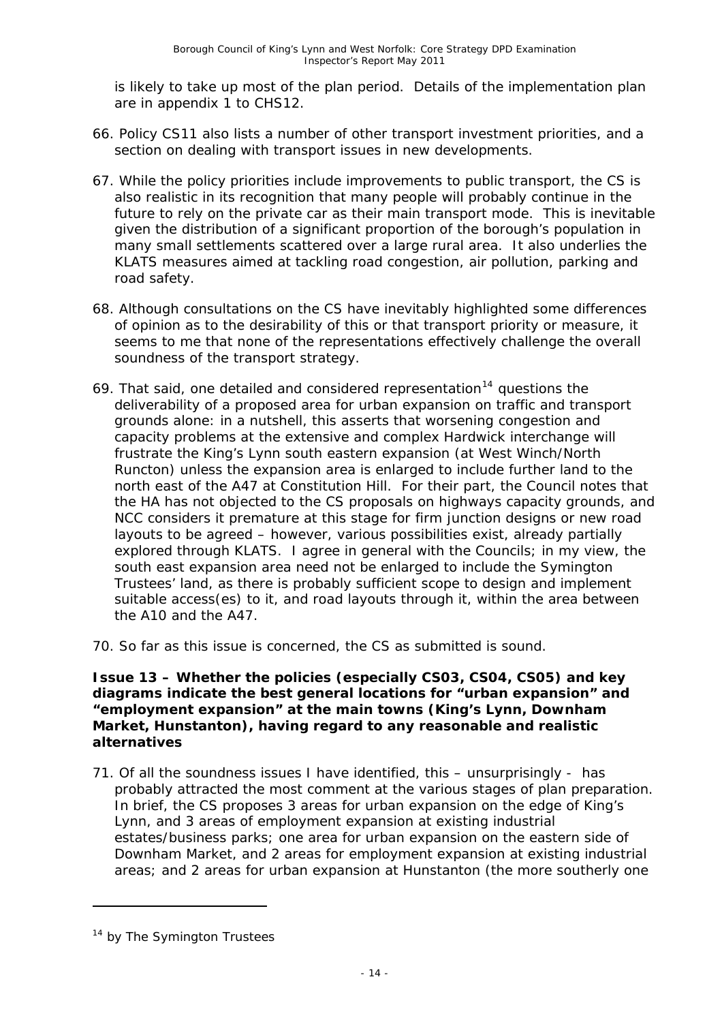is likely to take up most of the plan period. Details of the implementation plan are in appendix 1 to CHS12.

- 66. Policy CS11 also lists a number of other transport investment priorities, and a section on dealing with transport issues in new developments.
- 67. While the policy priorities include improvements to public transport, the CS is also realistic in its recognition that many people will probably continue in the future to rely on the private car as their main transport mode. This is inevitable given the distribution of a significant proportion of the borough's population in many small settlements scattered over a large rural area. It also underlies the KLATS measures aimed at tackling road congestion, air pollution, parking and road safety.
- 68. Although consultations on the CS have inevitably highlighted some differences of opinion as to the desirability of this or that transport priority or measure, it seems to me that none of the representations effectively challenge the overall soundness of the transport strategy.
- 69. That said, one detailed and considered representation<sup>[14](#page-14-0)</sup> questions the deliverability of a proposed area for urban expansion on traffic and transport grounds alone: in a nutshell, this asserts that worsening congestion and capacity problems at the extensive and complex Hardwick interchange will frustrate the King's Lynn south eastern expansion (at West Winch/North Runcton) unless the expansion area is enlarged to include further land to the north east of the A47 at Constitution Hill. For their part, the Council notes that the HA has not objected to the CS proposals on highways capacity grounds, and NCC considers it premature at this stage for firm junction designs or new road layouts to be agreed – however, various possibilities exist, already partially explored through KLATS. I agree in general with the Councils; in my view, the south east expansion area need not be enlarged to include the Symington Trustees' land, as there is probably sufficient scope to design and implement suitable access(es) to it, and road layouts through it, within the area between the A10 and the A47.
- 70. So far as this issue is concerned, the CS as submitted is sound.

#### **Issue 13 – Whether the policies (especially CS03, CS04, CS05) and key diagrams indicate the best general locations for "urban expansion" and "employment expansion" at the main towns (King's Lynn, Downham Market, Hunstanton), having regard to any reasonable and realistic alternatives**

71. Of all the soundness issues I have identified, this – unsurprisingly - has probably attracted the most comment at the various stages of plan preparation. In brief, the CS proposes 3 areas for urban expansion on the edge of King's Lynn, and 3 areas of employment expansion at existing industrial estates/business parks; one area for urban expansion on the eastern side of Downham Market, and 2 areas for employment expansion at existing industrial areas; and 2 areas for urban expansion at Hunstanton (the more southerly one

<span id="page-14-0"></span> $14$  by The Symington Trustees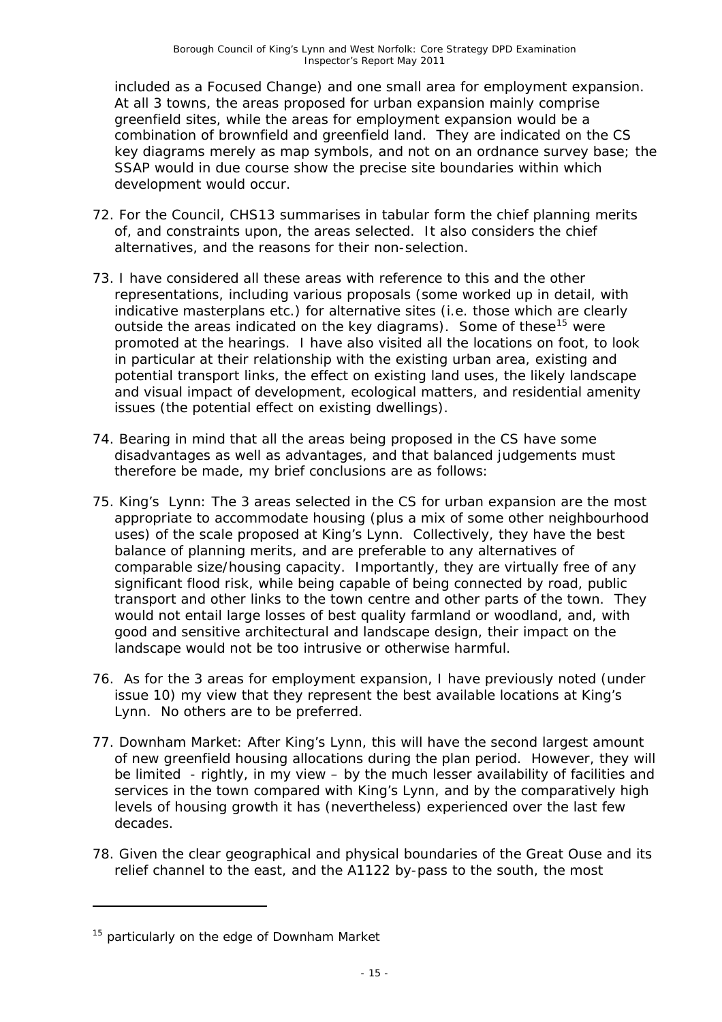included as a Focused Change) and one small area for employment expansion. At all 3 towns, the areas proposed for urban expansion mainly comprise greenfield sites, while the areas for employment expansion would be a combination of brownfield and greenfield land. They are indicated on the CS key diagrams merely as map symbols, and not on an ordnance survey base; the SSAP would in due course show the precise site boundaries within which development would occur.

- 72. For the Council, CHS13 summarises in tabular form the chief planning merits of, and constraints upon, the areas selected. It also considers the chief alternatives, and the reasons for their non-selection.
- 73. I have considered all these areas with reference to this and the other representations, including various proposals (some worked up in detail, with indicative masterplans etc.) for alternative sites (i.e. those which are clearly outside the areas indicated on the key diagrams). Some of these<sup>[15](#page-15-0)</sup> were promoted at the hearings. I have also visited all the locations on foot, to look in particular at their relationship with the existing urban area, existing and potential transport links, the effect on existing land uses, the likely landscape and visual impact of development, ecological matters, and residential amenity issues (the potential effect on existing dwellings).
- 74. Bearing in mind that all the areas being proposed in the CS have some disadvantages as well as advantages, and that balanced judgements must therefore be made, my brief conclusions are as follows:
- 75. *King's Lynn:* The 3 areas selected in the CS for urban expansion are the most appropriate to accommodate housing (plus a mix of some other neighbourhood uses) of the scale proposed at King's Lynn. Collectively, they have the best balance of planning merits, and are preferable to any alternatives of comparable size/housing capacity. Importantly, they are virtually free of any significant flood risk, while being capable of being connected by road, public transport and other links to the town centre and other parts of the town. They would not entail large losses of best quality farmland or woodland, and, with good and sensitive architectural and landscape design, their impact on the landscape would not be too intrusive or otherwise harmful.
- 76. As for the 3 areas for employment expansion, I have previously noted (under issue 10) my view that they represent the best available locations at King's Lynn. No others are to be preferred.
- 77. *Downham Market:* After King's Lynn, this will have the second largest amount of new greenfield housing allocations during the plan period. However, they will be limited - rightly, in my view – by the much lesser availability of facilities and services in the town compared with King's Lynn, and by the comparatively high levels of housing growth it has (nevertheless) experienced over the last few decades.
- 78. Given the clear geographical and physical boundaries of the Great Ouse and its relief channel to the east, and the A1122 by-pass to the south, the most

<span id="page-15-0"></span> $15$  particularly on the edge of Downham Market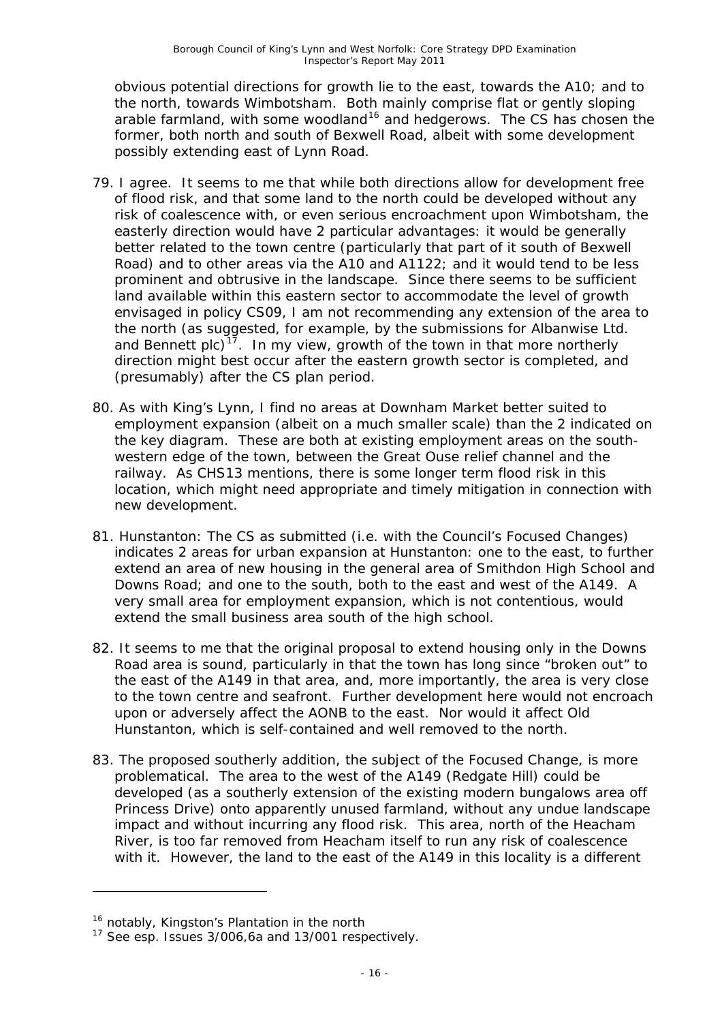obvious potential directions for growth lie to the east, towards the A10; and to the north, towards Wimbotsham. Both mainly comprise flat or gently sloping arable farmland, with some woodland<sup>[16](#page-16-0)</sup> and hedgerows. The CS has chosen the former, both north and south of Bexwell Road, albeit with some development possibly extending east of Lynn Road.

- 79. I agree. It seems to me that while both directions allow for development free of flood risk, and that some land to the north could be developed without any risk of coalescence with, or even serious encroachment upon Wimbotsham, the easterly direction would have 2 particular advantages: it would be generally better related to the town centre (particularly that part of it south of Bexwell Road) and to other areas via the A10 and A1122; and it would tend to be less prominent and obtrusive in the landscape. Since there seems to be sufficient land available within this eastern sector to accommodate the level of growth envisaged in policy CS09, I am not recommending any extension of the area to the north (as suggested, for example, by the submissions for Albanwise Ltd. and Bennett plc)<sup>[17](#page-16-1)</sup>. In my view, growth of the town in that more northerly direction might best occur after the eastern growth sector is completed, and (presumably) after the CS plan period.
- 80. As with King's Lynn, I find no areas at Downham Market better suited to employment expansion (albeit on a much smaller scale) than the 2 indicated on the key diagram. These are both at existing employment areas on the southwestern edge of the town, between the Great Ouse relief channel and the railway. As CHS13 mentions, there is some longer term flood risk in this location, which might need appropriate and timely mitigation in connection with new development.
- 81. *Hunstanton:* The CS as submitted (i.e. with the Council's Focused Changes) indicates 2 areas for urban expansion at Hunstanton: one to the east, to further extend an area of new housing in the general area of Smithdon High School and Downs Road; and one to the south, both to the east and west of the A149. A very small area for employment expansion, which is not contentious, would extend the small business area south of the high school.
- 82. It seems to me that the original proposal to extend housing only in the Downs Road area is sound, particularly in that the town has long since "broken out" to the east of the A149 in that area, and, more importantly, the area is very close to the town centre and seafront. Further development here would not encroach upon or adversely affect the AONB to the east. Nor would it affect Old Hunstanton, which is self-contained and well removed to the north.
- 83. The proposed southerly addition, the subject of the Focused Change, is more problematical. The area to the west of the A149 (Redgate Hill) could be developed (as a southerly extension of the existing modern bungalows area off Princess Drive) onto apparently unused farmland, without any undue landscape impact and without incurring any flood risk. This area, north of the Heacham River, is too far removed from Heacham itself to run any risk of coalescence with it. However, the land to the east of the A149 in this locality is a different

<span id="page-16-0"></span><sup>&</sup>lt;sup>16</sup> notably, Kingston's Plantation in the north

<span id="page-16-1"></span><sup>&</sup>lt;sup>17</sup> See esp. Issues 3/006,6a and 13/001 respectively.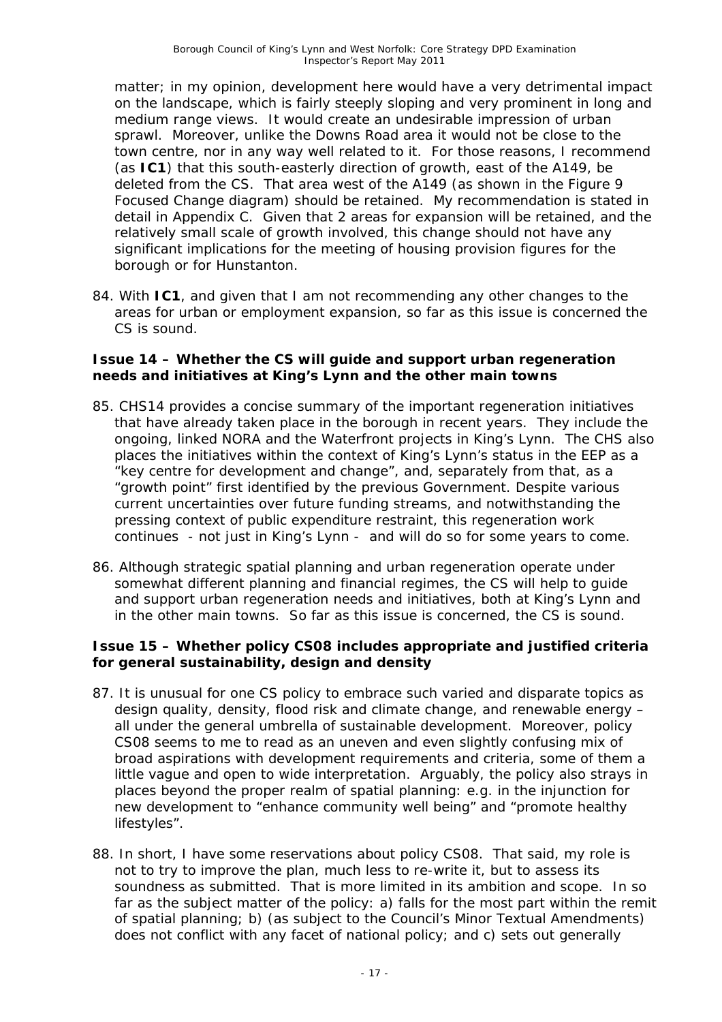matter; in my opinion, development here would have a very detrimental impact on the landscape, which is fairly steeply sloping and very prominent in long and medium range views. It would create an undesirable impression of urban sprawl. Moreover, unlike the Downs Road area it would not be close to the town centre, nor in any way well related to it. For those reasons, I recommend (as **IC1**) that this south-easterly direction of growth, east of the A149, be deleted from the CS. That area west of the A149 (as shown in the Figure 9 Focused Change diagram) should be retained. My recommendation is stated in detail in Appendix C. Given that 2 areas for expansion will be retained, and the relatively small scale of growth involved, this change should not have any significant implications for the meeting of housing provision figures for the borough or for Hunstanton.

84. With **IC1**, and given that I am not recommending any other changes to the areas for urban or employment expansion, so far as this issue is concerned the CS is sound.

#### **Issue 14 – Whether the CS will guide and support urban regeneration needs and initiatives at King's Lynn and the other main towns**

- 85. CHS14 provides a concise summary of the important regeneration initiatives that have already taken place in the borough in recent years. They include the ongoing, linked NORA and the Waterfront projects in King's Lynn. The CHS also places the initiatives within the context of King's Lynn's status in the EEP as a "key centre for development and change", and, separately from that, as a "growth point" first identified by the previous Government. Despite various current uncertainties over future funding streams, and notwithstanding the pressing context of public expenditure restraint, this regeneration work continues - not just in King's Lynn - and will do so for some years to come.
- 86. Although strategic spatial planning and urban regeneration operate under somewhat different planning and financial regimes, the CS will help to guide and support urban regeneration needs and initiatives, both at King's Lynn and in the other main towns. So far as this issue is concerned, the CS is sound.

#### **Issue 15 – Whether policy CS08 includes appropriate and justified criteria for general sustainability, design and density**

- 87. It is unusual for one CS policy to embrace such varied and disparate topics as design quality, density, flood risk and climate change, and renewable energy – all under the general umbrella of sustainable development. Moreover, policy CS08 seems to me to read as an uneven and even slightly confusing mix of broad aspirations with development requirements and criteria, some of them a little vague and open to wide interpretation. Arguably, the policy also strays in places beyond the proper realm of spatial planning: e.g. in the injunction for new development to "enhance community well being" and "promote healthy lifestyles".
- 88. In short, I have some reservations about policy CS08. That said, my role is not to try to improve the plan, much less to re-write it, but to assess its soundness as submitted. That is more limited in its ambition and scope. In so far as the subject matter of the policy: a) falls for the most part within the remit of spatial planning; b) (as subject to the Council's Minor Textual Amendments) does not conflict with any facet of national policy; and c) sets out generally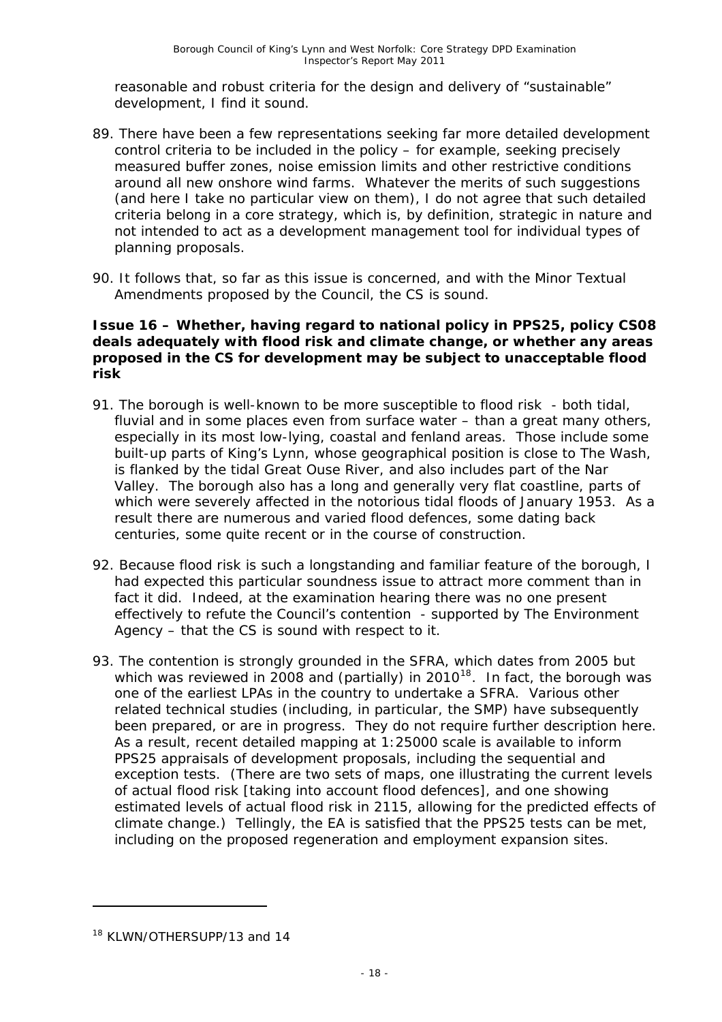reasonable and robust criteria for the design and delivery of "sustainable" development, I find it sound.

- 89. There have been a few representations seeking far more detailed development control criteria to be included in the policy – for example, seeking precisely measured buffer zones, noise emission limits and other restrictive conditions around all new onshore wind farms. Whatever the merits of such suggestions (and here I take no particular view on them), I do not agree that such detailed criteria belong in a core strategy, which is, by definition, strategic in nature and not intended to act as a development management tool for individual types of planning proposals.
- 90. It follows that, so far as this issue is concerned, and with the Minor Textual Amendments proposed by the Council, the CS is sound.

#### **Issue 16 – Whether, having regard to national policy in PPS25, policy CS08 deals adequately with flood risk and climate change, or whether any areas proposed in the CS for development may be subject to unacceptable flood risk**

- 91. The borough is well-known to be more susceptible to flood risk both tidal, fluvial and in some places even from surface water – than a great many others, especially in its most low-lying, coastal and fenland areas. Those include some built-up parts of King's Lynn, whose geographical position is close to The Wash, is flanked by the tidal Great Ouse River, and also includes part of the Nar Valley. The borough also has a long and generally very flat coastline, parts of which were severely affected in the notorious tidal floods of January 1953. As a result there are numerous and varied flood defences, some dating back centuries, some quite recent or in the course of construction.
- 92. Because flood risk is such a longstanding and familiar feature of the borough, I had expected this particular soundness issue to attract more comment than in fact it did. Indeed, at the examination hearing there was no one present effectively to refute the Council's contention - supported by The Environment Agency – that the CS is sound with respect to it.
- 93. The contention is strongly grounded in the SFRA, which dates from 2005 but which was reviewed in 2008 and (partially) in 2010<sup>[18](#page-18-0)</sup>. In fact, the borough was one of the earliest LPAs in the country to undertake a SFRA. Various other related technical studies (including, in particular, the SMP) have subsequently been prepared, or are in progress. They do not require further description here. As a result, recent detailed mapping at 1:25000 scale is available to inform PPS25 appraisals of development proposals, including the sequential and exception tests. (There are two sets of maps, one illustrating the current levels of actual flood risk [taking into account flood defences], and one showing estimated levels of actual flood risk in 2115, allowing for the predicted effects of climate change.) Tellingly, the EA is satisfied that the PPS25 tests can be met, including on the proposed regeneration and employment expansion sites.

<span id="page-18-0"></span><sup>&</sup>lt;sup>18</sup> KLWN/OTHERSUPP/13 and 14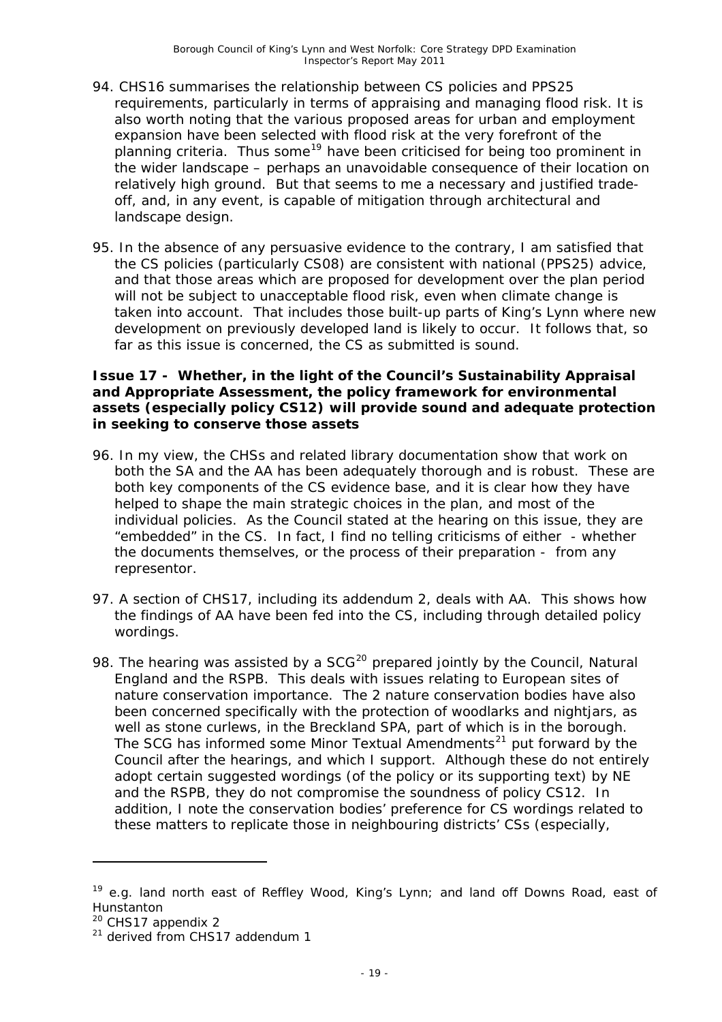- 94. CHS16 summarises the relationship between CS policies and PPS25 requirements, particularly in terms of appraising and managing flood risk. It is also worth noting that the various proposed areas for urban and employment expansion have been selected with flood risk at the very forefront of the planning criteria. Thus some<sup>[19](#page-19-0)</sup> have been criticised for being too prominent in the wider landscape – perhaps an unavoidable consequence of their location on relatively high ground. But that seems to me a necessary and justified tradeoff, and, in any event, is capable of mitigation through architectural and landscape design.
- 95. In the absence of any persuasive evidence to the contrary, I am satisfied that the CS policies (particularly CS08) are consistent with national (PPS25) advice, and that those areas which are proposed for development over the plan period will not be subject to unacceptable flood risk, even when climate change is taken into account. That includes those built-up parts of King's Lynn where new development on previously developed land is likely to occur. It follows that, so far as this issue is concerned, the CS as submitted is sound.

#### **Issue 17 - Whether, in the light of the Council's Sustainability Appraisal and Appropriate Assessment, the policy framework for environmental assets (especially policy CS12) will provide sound and adequate protection in seeking to conserve those assets**

- 96. In my view, the CHSs and related library documentation show that work on both the SA and the AA has been adequately thorough and is robust. These are both key components of the CS evidence base, and it is clear how they have helped to shape the main strategic choices in the plan, and most of the individual policies. As the Council stated at the hearing on this issue, they are "embedded" in the CS. In fact, I find no telling criticisms of either - whether the documents themselves, or the process of their preparation - from any representor.
- 97. A section of CHS17, including its addendum 2, deals with AA. This shows how the findings of AA have been fed into the CS, including through detailed policy wordings.
- 98. The hearing was assisted by a  $SCG<sup>20</sup>$  $SCG<sup>20</sup>$  $SCG<sup>20</sup>$  prepared jointly by the Council, Natural England and the RSPB. This deals with issues relating to European sites of nature conservation importance. The 2 nature conservation bodies have also been concerned specifically with the protection of woodlarks and nightjars, as well as stone curlews, in the Breckland SPA, part of which is in the borough. The SCG has informed some Minor Textual Amendments<sup>[21](#page-19-2)</sup> put forward by the Council after the hearings, and which I support. Although these do not entirely adopt certain suggested wordings (of the policy or its supporting text) by NE and the RSPB, they do not compromise the soundness of policy CS12. In addition, I note the conservation bodies' preference for CS wordings related to these matters to replicate those in neighbouring districts' CSs (especially,

<span id="page-19-1"></span><sup>20</sup> CHS17 appendix 2

<span id="page-19-0"></span> $19$  e.g. land north east of Reffley Wood, King's Lynn; and land off Downs Road, east of Hunstanton

<span id="page-19-2"></span> $21$  derived from CHS17 addendum 1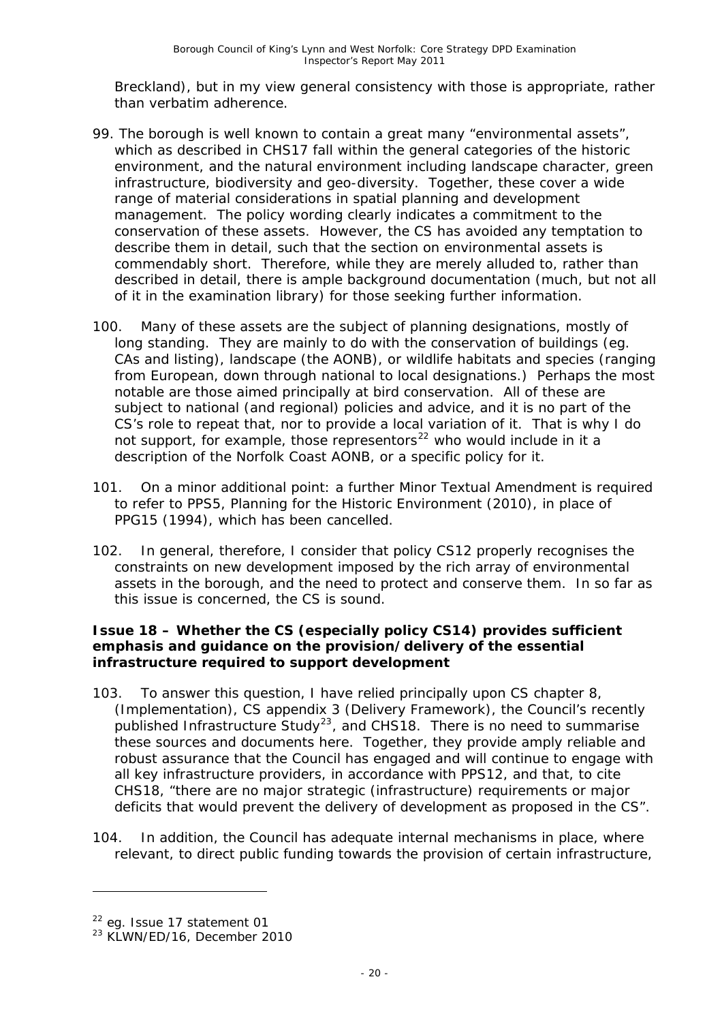Breckland), but in my view general consistency with those is appropriate, rather than verbatim adherence.

- 99. The borough is well known to contain a great many "environmental assets", which as described in CHS17 fall within the general categories of the historic environment, and the natural environment including landscape character, green infrastructure, biodiversity and geo-diversity. Together, these cover a wide range of material considerations in spatial planning and development management. The policy wording clearly indicates a commitment to the conservation of these assets. However, the CS has avoided any temptation to describe them in detail, such that the section on environmental assets is commendably short. Therefore, while they are merely alluded to, rather than described in detail, there is ample background documentation (much, but not all of it in the examination library) for those seeking further information.
- 100. Many of these assets are the subject of planning designations, mostly of long standing. They are mainly to do with the conservation of buildings (eg. CAs and listing), landscape (the AONB), or wildlife habitats and species (ranging from European, down through national to local designations.) Perhaps the most notable are those aimed principally at bird conservation. All of these are subject to national (and regional) policies and advice, and it is no part of the CS's role to repeat that, nor to provide a local variation of it. That is why I do not support, for example, those representors<sup>[22](#page-20-0)</sup> who would include in it a description of the Norfolk Coast AONB, or a specific policy for it.
- 101. On a minor additional point: a further Minor Textual Amendment is required to refer to PPS5, *Planning for the Historic Environment (2010),* in place of PPG15 (1994), which has been cancelled.
- 102. In general, therefore, I consider that policy CS12 properly recognises the constraints on new development imposed by the rich array of environmental assets in the borough, and the need to protect and conserve them. In so far as this issue is concerned, the CS is sound.

#### **Issue 18 – Whether the CS (especially policy CS14) provides sufficient emphasis and guidance on the provision/delivery of the essential infrastructure required to support development**

- 103. To answer this question, I have relied principally upon CS chapter 8, (Implementation), CS appendix 3 (Delivery Framework), the Council's recently published Infrastructure Study<sup>[23](#page-20-1)</sup>, and CHS18. There is no need to summarise these sources and documents here. Together, they provide amply reliable and robust assurance that the Council has engaged and will continue to engage with all key infrastructure providers, in accordance with PPS12, and that, to cite CHS18, "there are no major strategic (infrastructure) requirements or major deficits that would prevent the delivery of development as proposed in the CS".
- 104. In addition, the Council has adequate internal mechanisms in place, where relevant, to direct public funding towards the provision of certain infrastructure,

<span id="page-20-0"></span><sup>&</sup>lt;sup>22</sup> eg. Issue 17 statement 01

<span id="page-20-1"></span><sup>&</sup>lt;sup>23</sup> KLWN/ED/16, December 2010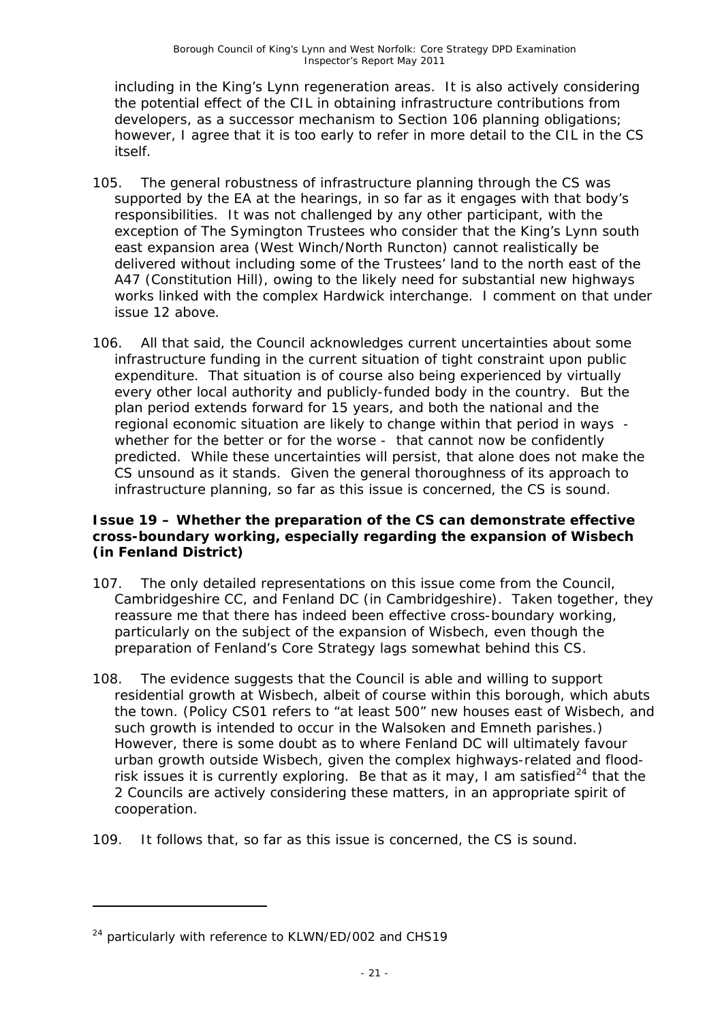including in the King's Lynn regeneration areas. It is also actively considering the potential effect of the CIL in obtaining infrastructure contributions from developers, as a successor mechanism to Section 106 planning obligations; however, I agree that it is too early to refer in more detail to the CIL in the CS itself.

- 105. The general robustness of infrastructure planning through the CS was supported by the EA at the hearings, in so far as it engages with that body's responsibilities. It was not challenged by any other participant, with the exception of The Symington Trustees who consider that the King's Lynn south east expansion area (West Winch/North Runcton) cannot realistically be delivered without including some of the Trustees' land to the north east of the A47 (Constitution Hill), owing to the likely need for substantial new highways works linked with the complex Hardwick interchange. I comment on that under issue 12 above.
- 106. All that said, the Council acknowledges current uncertainties about some infrastructure funding in the current situation of tight constraint upon public expenditure. That situation is of course also being experienced by virtually every other local authority and publicly-funded body in the country. But the plan period extends forward for 15 years, and both the national and the regional economic situation are likely to change within that period in ways whether for the better or for the worse - that cannot now be confidently predicted. While these uncertainties will persist, that alone does not make the CS unsound as it stands. Given the general thoroughness of its approach to infrastructure planning, so far as this issue is concerned, the CS is sound.

#### **Issue 19 – Whether the preparation of the CS can demonstrate effective cross-boundary working, especially regarding the expansion of Wisbech (in Fenland District)**

- 107. The only detailed representations on this issue come from the Council, Cambridgeshire CC, and Fenland DC (in Cambridgeshire). Taken together, they reassure me that there has indeed been effective cross-boundary working, particularly on the subject of the expansion of Wisbech, even though the preparation of Fenland's Core Strategy lags somewhat behind this CS.
- 108. The evidence suggests that the Council is able and willing to support residential growth at Wisbech, albeit of course within this borough, which abuts the town. (Policy CS01 refers to "at least 500" new houses east of Wisbech, and such growth is intended to occur in the Walsoken and Emneth parishes.) However, there is some doubt as to where Fenland DC will ultimately favour urban growth outside Wisbech, given the complex highways-related and flood-risk issues it is currently exploring. Be that as it may, I am satisfied<sup>[24](#page-21-0)</sup> that the 2 Councils are actively considering these matters, in an appropriate spirit of cooperation.
- 109. It follows that, so far as this issue is concerned, the CS is sound.

<span id="page-21-0"></span><sup>&</sup>lt;sup>24</sup> particularly with reference to KLWN/ED/002 and CHS19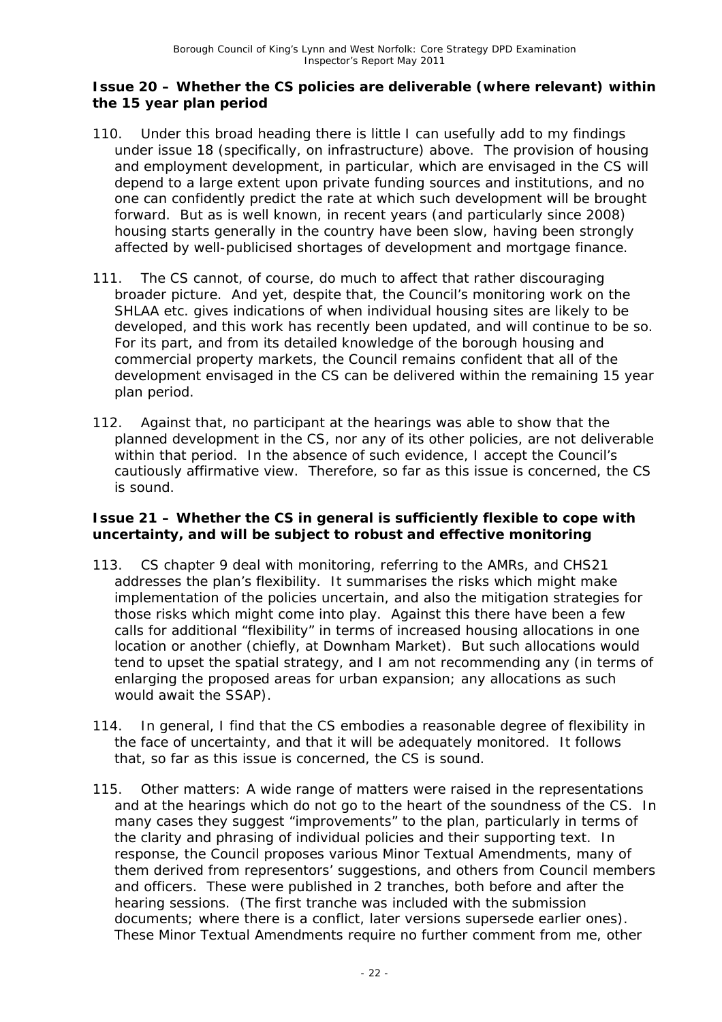#### **Issue 20 – Whether the CS policies are deliverable (where relevant) within the 15 year plan period**

- 110. Under this broad heading there is little I can usefully add to my findings under issue 18 (specifically, on infrastructure) above. The provision of housing and employment development, in particular, which are envisaged in the CS will depend to a large extent upon private funding sources and institutions, and no one can confidently predict the rate at which such development will be brought forward. But as is well known, in recent years (and particularly since 2008) housing starts generally in the country have been slow, having been strongly affected by well-publicised shortages of development and mortgage finance.
- 111. The CS cannot, of course, do much to affect that rather discouraging broader picture. And yet, despite that, the Council's monitoring work on the SHLAA etc. gives indications of when individual housing sites are likely to be developed, and this work has recently been updated, and will continue to be so. For its part, and from its detailed knowledge of the borough housing and commercial property markets, the Council remains confident that all of the development envisaged in the CS can be delivered within the remaining 15 year plan period.
- 112. Against that, no participant at the hearings was able to show that the planned development in the CS, nor any of its other policies, are not deliverable within that period. In the absence of such evidence, I accept the Council's cautiously affirmative view. Therefore, so far as this issue is concerned, the CS is sound.

#### **Issue 21 – Whether the CS in general is sufficiently flexible to cope with uncertainty, and will be subject to robust and effective monitoring**

- 113. CS chapter 9 deal with monitoring, referring to the AMRs, and CHS21 addresses the plan's flexibility. It summarises the risks which might make implementation of the policies uncertain, and also the mitigation strategies for those risks which might come into play. Against this there have been a few calls for additional "flexibility" in terms of increased housing allocations in one location or another (chiefly, at Downham Market). But such allocations would tend to upset the spatial strategy, and I am not recommending any (in terms of enlarging the proposed areas for urban expansion; any allocations as such would await the SSAP).
- 114. In general, I find that the CS embodies a reasonable degree of flexibility in the face of uncertainty, and that it will be adequately monitored. It follows that, so far as this issue is concerned, the CS is sound.
- 115. Other matters: A wide range of matters were raised in the representations and at the hearings which do not go to the heart of the soundness of the CS. In many cases they suggest "improvements" to the plan, particularly in terms of the clarity and phrasing of individual policies and their supporting text. In response, the Council proposes various Minor Textual Amendments, many of them derived from representors' suggestions, and others from Council members and officers. These were published in 2 tranches, both before and after the hearing sessions. (The first tranche was included with the submission documents; where there is a conflict, later versions supersede earlier ones). These Minor Textual Amendments require no further comment from me, other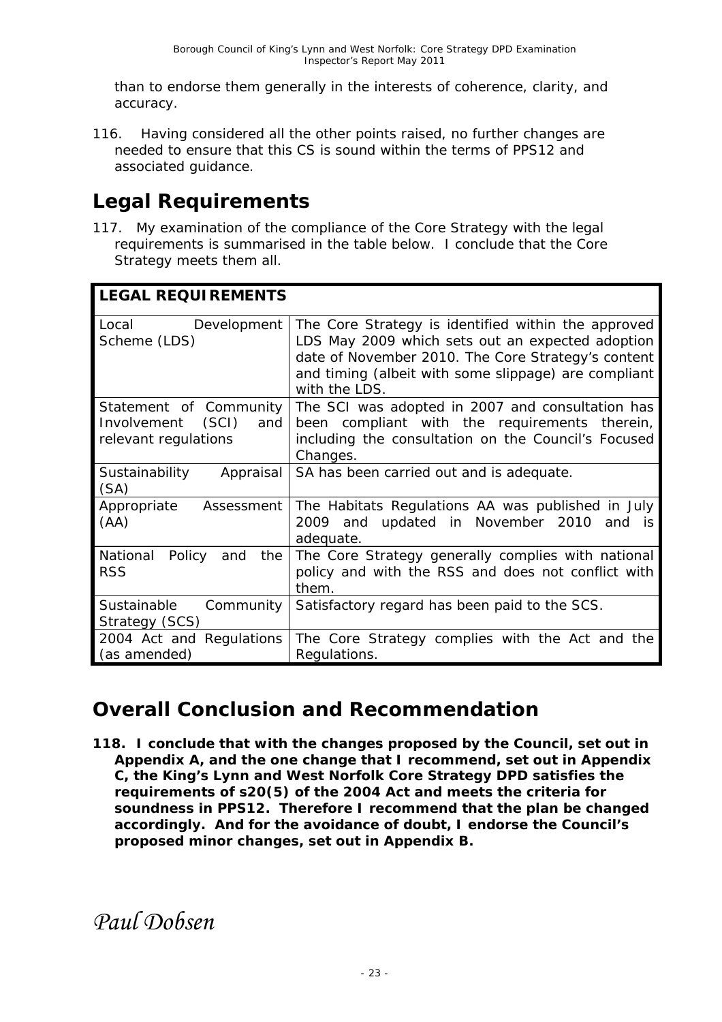than to endorse them generally in the interests of coherence, clarity, and accuracy.

116. Having considered all the other points raised, no further changes are needed to ensure that this CS is sound within the terms of PPS12 and associated guidance.

# **Legal Requirements**

117. My examination of the compliance of the Core Strategy with the legal requirements is summarised in the table below. I conclude that the Core Strategy meets them all.

| <b>LEGAL REQUIREMENTS</b>                                                     |                                                                                                                                                                                                                                        |  |  |  |
|-------------------------------------------------------------------------------|----------------------------------------------------------------------------------------------------------------------------------------------------------------------------------------------------------------------------------------|--|--|--|
| Development<br>Local<br>Scheme (LDS)                                          | The Core Strategy is identified within the approved<br>LDS May 2009 which sets out an expected adoption<br>date of November 2010. The Core Strategy's content<br>and timing (albeit with some slippage) are compliant<br>with the LDS. |  |  |  |
| Statement of Community<br>(SCI)<br>Involvement<br>and<br>relevant regulations | The SCI was adopted in 2007 and consultation has<br>been compliant with the requirements therein,<br>including the consultation on the Council's Focused<br>Changes.                                                                   |  |  |  |
| Sustainability<br>Appraisal<br>(SA)                                           | SA has been carried out and is adequate.                                                                                                                                                                                               |  |  |  |
| Appropriate<br>Assessment<br>(AA)                                             | The Habitats Regulations AA was published in July<br>2009 and updated in November 2010<br>and is<br>adequate.                                                                                                                          |  |  |  |
| National<br>the<br>Policy and<br><b>RSS</b>                                   | The Core Strategy generally complies with national<br>policy and with the RSS and does not conflict with<br>them.                                                                                                                      |  |  |  |
| Sustainable<br>Community<br>Strategy (SCS)                                    | Satisfactory regard has been paid to the SCS.                                                                                                                                                                                          |  |  |  |
| 2004 Act and Regulations<br>(as amended)                                      | The Core Strategy complies with the Act and the<br>Regulations.                                                                                                                                                                        |  |  |  |

### **Overall Conclusion and Recommendation**

**118. I conclude that with the changes proposed by the Council, set out in Appendix A, and the one change that I recommend, set out in Appendix C, the King's Lynn and West Norfolk Core Strategy DPD satisfies the requirements of s20(5) of the 2004 Act and meets the criteria for soundness in PPS12. Therefore I recommend that the plan be changed accordingly. And for the avoidance of doubt, I endorse the Council's proposed minor changes, set out in Appendix B.** 

*Paul Dobsen*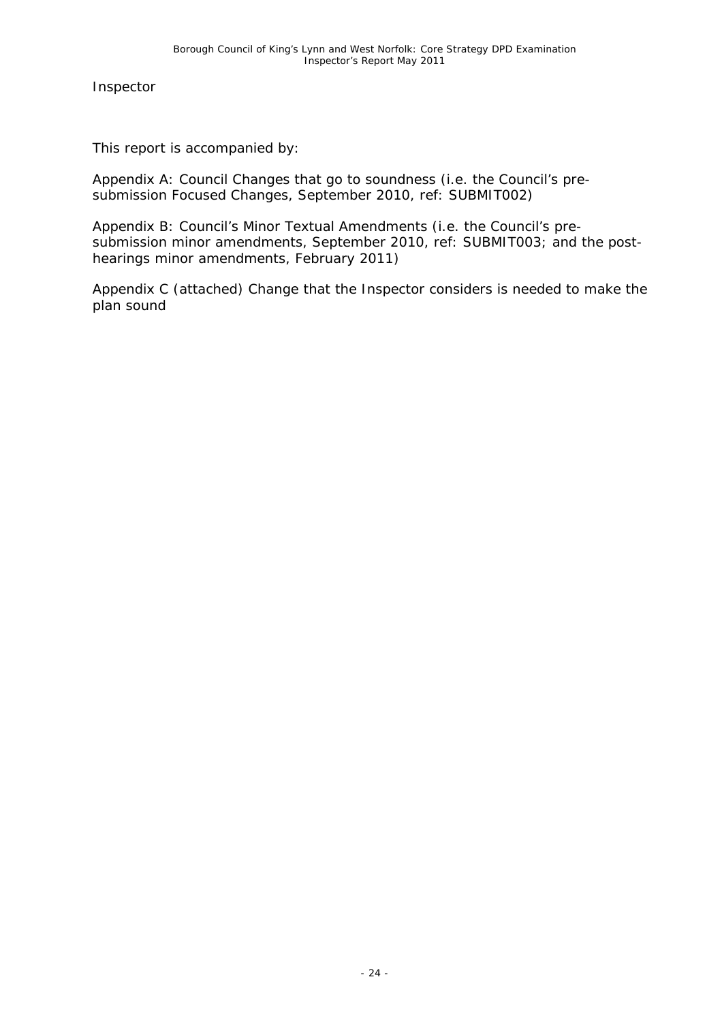Inspector

This report is accompanied by:

Appendix A: Council Changes that go to soundness (i.e. the Council's presubmission Focused Changes, September 2010, ref: SUBMIT002)

Appendix B: Council's Minor Textual Amendments (i.e. the Council's presubmission minor amendments, September 2010, ref: SUBMIT003; and the posthearings minor amendments, February 2011)

Appendix C (attached) Change that the Inspector considers is needed to make the plan sound